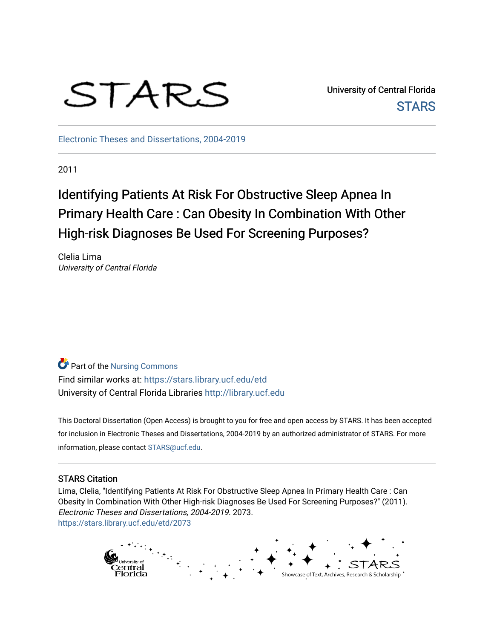

University of Central Florida **STARS** 

[Electronic Theses and Dissertations, 2004-2019](https://stars.library.ucf.edu/etd) 

2011

# Identifying Patients At Risk For Obstructive Sleep Apnea In Primary Health Care : Can Obesity In Combination With Other High-risk Diagnoses Be Used For Screening Purposes?

Clelia Lima University of Central Florida

**P** Part of the Nursing Commons Find similar works at: <https://stars.library.ucf.edu/etd> University of Central Florida Libraries [http://library.ucf.edu](http://library.ucf.edu/) 

This Doctoral Dissertation (Open Access) is brought to you for free and open access by STARS. It has been accepted for inclusion in Electronic Theses and Dissertations, 2004-2019 by an authorized administrator of STARS. For more information, please contact [STARS@ucf.edu.](mailto:STARS@ucf.edu)

## STARS Citation

Lima, Clelia, "Identifying Patients At Risk For Obstructive Sleep Apnea In Primary Health Care : Can Obesity In Combination With Other High-risk Diagnoses Be Used For Screening Purposes?" (2011). Electronic Theses and Dissertations, 2004-2019. 2073. [https://stars.library.ucf.edu/etd/2073](https://stars.library.ucf.edu/etd/2073?utm_source=stars.library.ucf.edu%2Fetd%2F2073&utm_medium=PDF&utm_campaign=PDFCoverPages) 

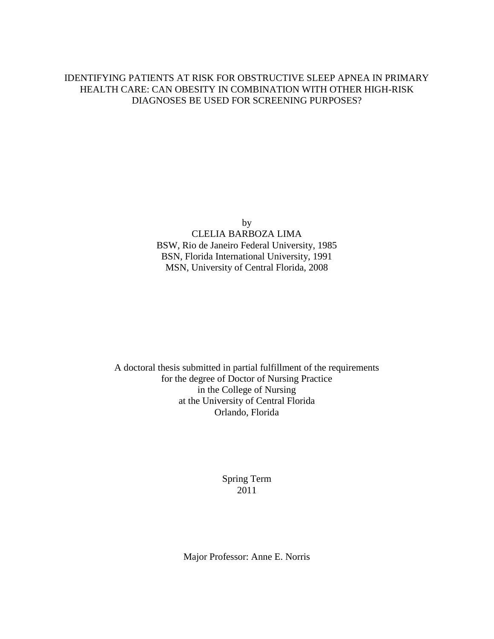## IDENTIFYING PATIENTS AT RISK FOR OBSTRUCTIVE SLEEP APNEA IN PRIMARY HEALTH CARE: CAN OBESITY IN COMBINATION WITH OTHER HIGH-RISK DIAGNOSES BE USED FOR SCREENING PURPOSES?

by CLELIA BARBOZA LIMA BSW, Rio de Janeiro Federal University, 1985 BSN, Florida International University, 1991 MSN, University of Central Florida, 2008

A doctoral thesis submitted in partial fulfillment of the requirements for the degree of Doctor of Nursing Practice in the College of Nursing at the University of Central Florida Orlando, Florida

> Spring Term 2011

Major Professor: Anne E. Norris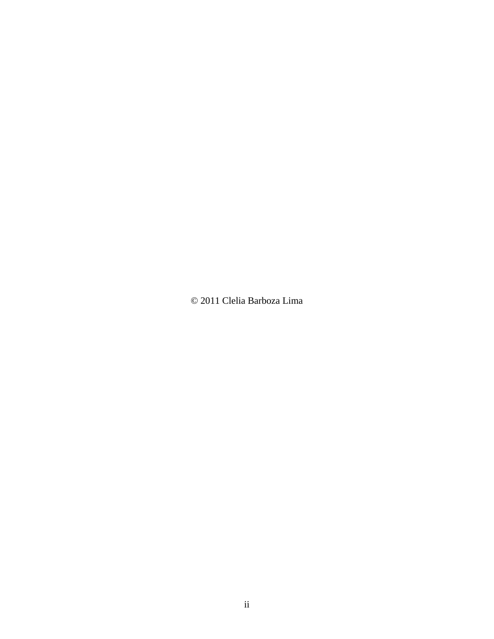© 2011 Clelia Barboza Lima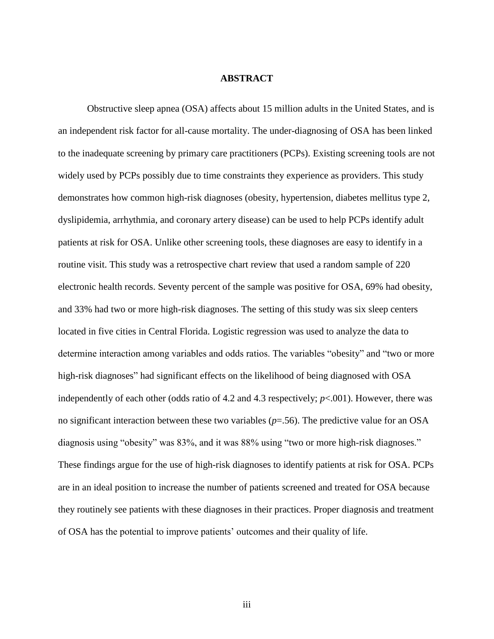#### **ABSTRACT**

Obstructive sleep apnea (OSA) affects about 15 million adults in the United States, and is an independent risk factor for all-cause mortality. The under-diagnosing of OSA has been linked to the inadequate screening by primary care practitioners (PCPs). Existing screening tools are not widely used by PCPs possibly due to time constraints they experience as providers. This study demonstrates how common high-risk diagnoses (obesity, hypertension, diabetes mellitus type 2, dyslipidemia, arrhythmia, and coronary artery disease) can be used to help PCPs identify adult patients at risk for OSA. Unlike other screening tools, these diagnoses are easy to identify in a routine visit. This study was a retrospective chart review that used a random sample of 220 electronic health records. Seventy percent of the sample was positive for OSA, 69% had obesity, and 33% had two or more high-risk diagnoses. The setting of this study was six sleep centers located in five cities in Central Florida. Logistic regression was used to analyze the data to determine interaction among variables and odds ratios. The variables "obesity" and "two or more high-risk diagnoses" had significant effects on the likelihood of being diagnosed with OSA independently of each other (odds ratio of 4.2 and 4.3 respectively; *p*<.001). However, there was no significant interaction between these two variables (*p*=.56). The predictive value for an OSA diagnosis using "obesity" was 83%, and it was 88% using "two or more high-risk diagnoses." These findings argue for the use of high-risk diagnoses to identify patients at risk for OSA. PCPs are in an ideal position to increase the number of patients screened and treated for OSA because they routinely see patients with these diagnoses in their practices. Proper diagnosis and treatment of OSA has the potential to improve patients" outcomes and their quality of life.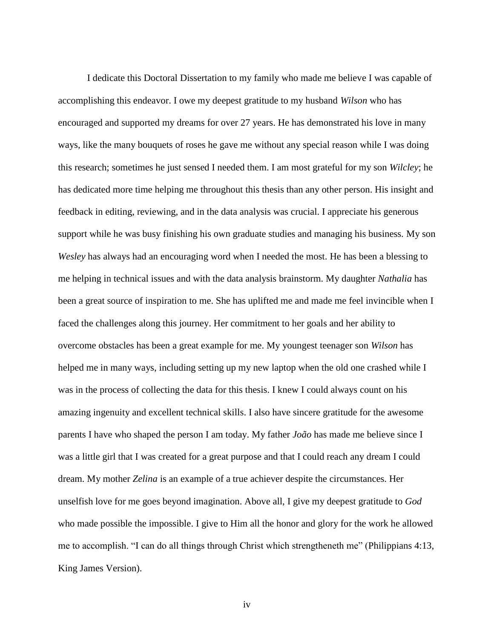I dedicate this Doctoral Dissertation to my family who made me believe I was capable of accomplishing this endeavor. I owe my deepest gratitude to my husband *Wilson* who has encouraged and supported my dreams for over 27 years. He has demonstrated his love in many ways, like the many bouquets of roses he gave me without any special reason while I was doing this research; sometimes he just sensed I needed them. I am most grateful for my son *Wilcley*; he has dedicated more time helping me throughout this thesis than any other person. His insight and feedback in editing, reviewing, and in the data analysis was crucial. I appreciate his generous support while he was busy finishing his own graduate studies and managing his business. My son *Wesley* has always had an encouraging word when I needed the most. He has been a blessing to me helping in technical issues and with the data analysis brainstorm. My daughter *Nathalia* has been a great source of inspiration to me. She has uplifted me and made me feel invincible when I faced the challenges along this journey. Her commitment to her goals and her ability to overcome obstacles has been a great example for me. My youngest teenager son *Wilson* has helped me in many ways, including setting up my new laptop when the old one crashed while I was in the process of collecting the data for this thesis. I knew I could always count on his amazing ingenuity and excellent technical skills. I also have sincere gratitude for the awesome parents I have who shaped the person I am today. My father *João* has made me believe since I was a little girl that I was created for a great purpose and that I could reach any dream I could dream. My mother *Zelina* is an example of a true achiever despite the circumstances. Her unselfish love for me goes beyond imagination. Above all, I give my deepest gratitude to *God* who made possible the impossible. I give to Him all the honor and glory for the work he allowed me to accomplish. "I can do all things through Christ which strengtheneth me" (Philippians 4:13, King James Version).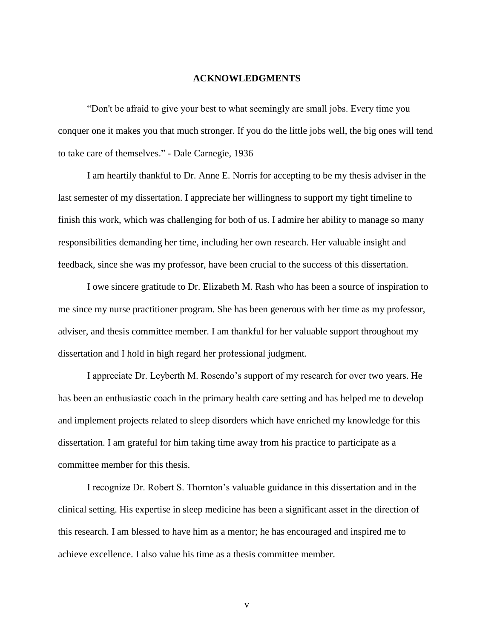#### **ACKNOWLEDGMENTS**

"Don't be afraid to give your best to what seemingly are small jobs. Every time you conquer one it makes you that much stronger. If you do the little jobs well, the big ones will tend to take care of themselves." - [Dale Carnegie,](http://www.brainyquote.com/quotes/quotes/d/dalecarneg107059.html) 1936

I am heartily thankful to Dr. Anne E. Norris for accepting to be my thesis adviser in the last semester of my dissertation. I appreciate her willingness to support my tight timeline to finish this work, which was challenging for both of us. I admire her ability to manage so many responsibilities demanding her time, including her own research. Her valuable insight and feedback, since she was my professor, have been crucial to the success of this dissertation.

I owe sincere gratitude to Dr. Elizabeth M. Rash who has been a source of inspiration to me since my nurse practitioner program. She has been generous with her time as my professor, adviser, and thesis committee member. I am thankful for her valuable support throughout my dissertation and I hold in high regard her professional judgment.

I appreciate Dr. Leyberth M. Rosendo"s support of my research for over two years. He has been an enthusiastic coach in the primary health care setting and has helped me to develop and implement projects related to sleep disorders which have enriched my knowledge for this dissertation. I am grateful for him taking time away from his practice to participate as a committee member for this thesis.

I recognize Dr. Robert S. Thornton"s valuable guidance in this dissertation and in the clinical setting. His expertise in sleep medicine has been a significant asset in the direction of this research. I am blessed to have him as a mentor; he has encouraged and inspired me to achieve excellence. I also value his time as a thesis committee member.

v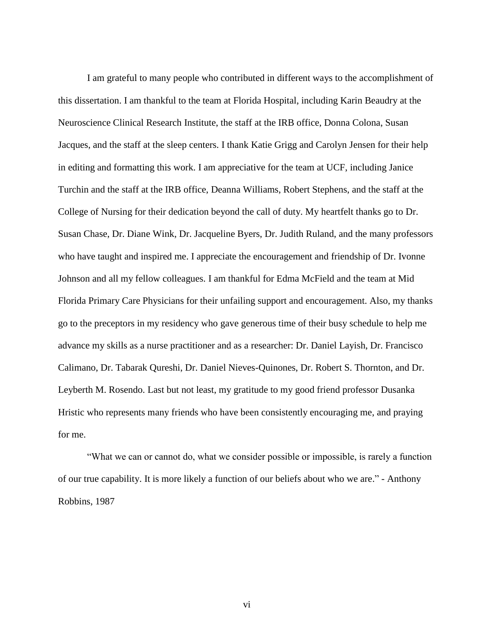I am grateful to many people who contributed in different ways to the accomplishment of this dissertation. I am thankful to the team at Florida Hospital, including Karin Beaudry at the Neuroscience Clinical Research Institute, the staff at the IRB office, Donna Colona, Susan Jacques, and the staff at the sleep centers. I thank Katie Grigg and Carolyn Jensen for their help in editing and formatting this work. I am appreciative for the team at UCF, including Janice Turchin and the staff at the IRB office, Deanna Williams, Robert Stephens, and the staff at the College of Nursing for their dedication beyond the call of duty. My heartfelt thanks go to Dr. Susan Chase, Dr. Diane Wink, Dr. Jacqueline Byers, Dr. Judith Ruland, and the many professors who have taught and inspired me. I appreciate the encouragement and friendship of Dr. Ivonne Johnson and all my fellow colleagues. I am thankful for Edma McField and the team at Mid Florida Primary Care Physicians for their unfailing support and encouragement. Also, my thanks go to the preceptors in my residency who gave generous time of their busy schedule to help me advance my skills as a nurse practitioner and as a researcher: Dr. Daniel Layish, Dr. Francisco Calimano, Dr. Tabarak Qureshi, Dr. Daniel Nieves-Quinones, Dr. Robert S. Thornton, and Dr. Leyberth M. Rosendo. Last but not least, my gratitude to my good friend professor Dusanka Hristic who represents many friends who have been consistently encouraging me, and praying for me.

"What we can or cannot do, what we consider possible or impossible, is rarely a function of our true capability. It is more likely a function of our beliefs about who we are." - [Anthony](http://www.brainyquote.com/quotes/quotes/t/tonyrobbin165100.html)  [Robbins,](http://www.brainyquote.com/quotes/quotes/t/tonyrobbin165100.html) 1987

vi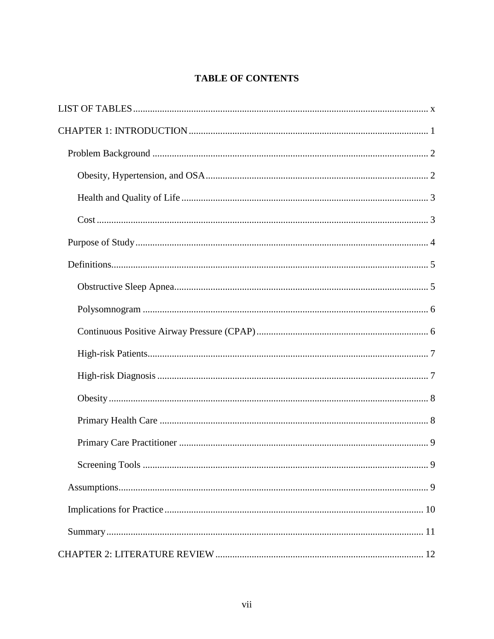# **TABLE OF CONTENTS**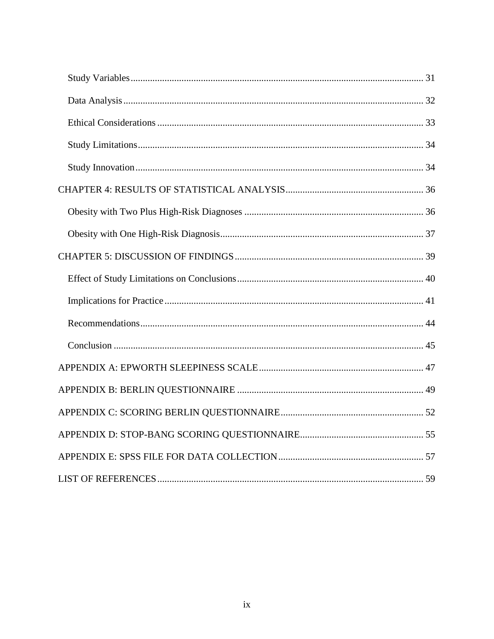<span id="page-9-0"></span>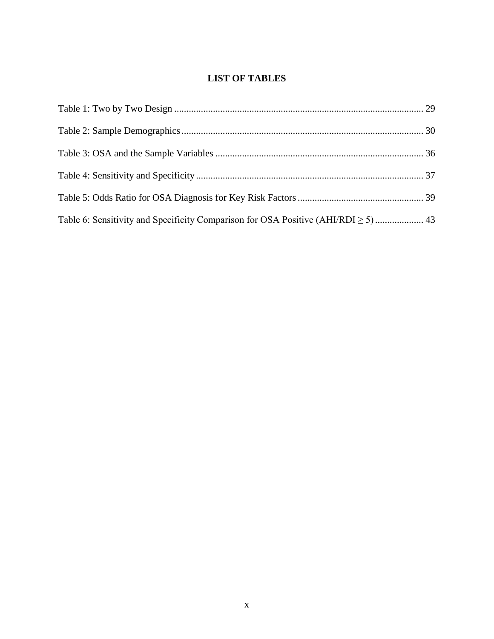## **LIST OF TABLES**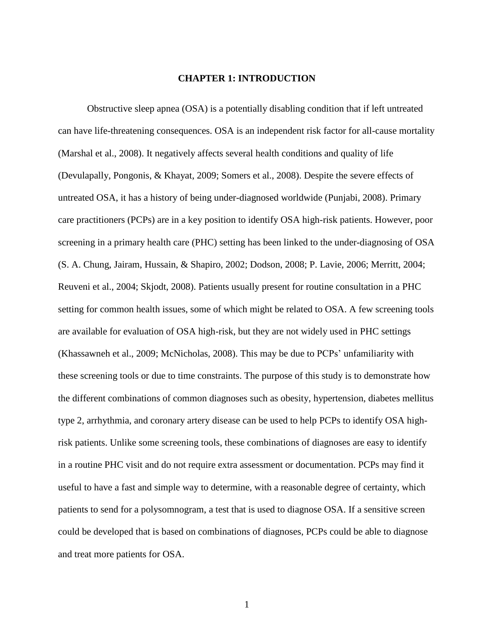## **CHAPTER 1: INTRODUCTION**

<span id="page-11-0"></span>Obstructive sleep apnea (OSA) is a potentially disabling condition that if left untreated can have life-threatening consequences. OSA is an independent risk factor for all-cause mortality (Marshal et al., 2008). It negatively affects several health conditions and quality of life (Devulapally, Pongonis, & Khayat, 2009; Somers et al., 2008). Despite the severe effects of untreated OSA, it has a history of being under-diagnosed worldwide (Punjabi, 2008). Primary care practitioners (PCPs) are in a key position to identify OSA high-risk patients. However, poor screening in a primary health care (PHC) setting has been linked to the under-diagnosing of OSA (S. A. Chung, Jairam, Hussain, & Shapiro, 2002; Dodson, 2008; P. Lavie, 2006; Merritt, 2004; Reuveni et al., 2004; Skjodt, 2008). Patients usually present for routine consultation in a PHC setting for common health issues, some of which might be related to OSA. A few screening tools are available for evaluation of OSA high-risk, but they are not widely used in PHC settings (Khassawneh et al., 2009; McNicholas, 2008). This may be due to PCPs' unfamiliarity with these screening tools or due to time constraints. The purpose of this study is to demonstrate how the different combinations of common diagnoses such as obesity, hypertension, diabetes mellitus type 2, arrhythmia, and coronary artery disease can be used to help PCPs to identify OSA highrisk patients. Unlike some screening tools, these combinations of diagnoses are easy to identify in a routine PHC visit and do not require extra assessment or documentation. PCPs may find it useful to have a fast and simple way to determine, with a reasonable degree of certainty, which patients to send for a polysomnogram, a test that is used to diagnose OSA. If a sensitive screen could be developed that is based on combinations of diagnoses, PCPs could be able to diagnose and treat more patients for OSA.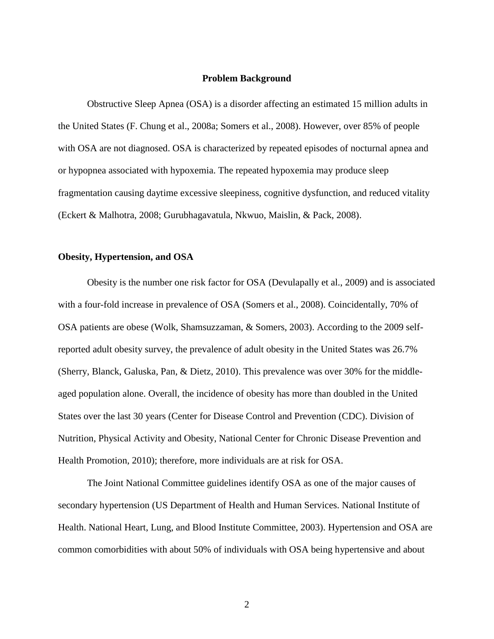#### **Problem Background**

<span id="page-12-0"></span>Obstructive Sleep Apnea (OSA) is a disorder affecting an estimated 15 million adults in the United States (F. Chung et al., 2008a; Somers et al., 2008). However, over 85% of people with OSA are not diagnosed. OSA is characterized by repeated episodes of nocturnal apnea and or hypopnea associated with hypoxemia. The repeated hypoxemia may produce sleep fragmentation causing daytime excessive sleepiness, cognitive dysfunction, and reduced vitality (Eckert & Malhotra, 2008; Gurubhagavatula, Nkwuo, Maislin, & Pack, 2008).

#### <span id="page-12-1"></span>**Obesity, Hypertension, and OSA**

Obesity is the number one risk factor for OSA (Devulapally et al., 2009) and is associated with a four-fold increase in prevalence of OSA (Somers et al., 2008). Coincidentally, 70% of OSA patients are obese (Wolk, Shamsuzzaman, & Somers, 2003). According to the 2009 selfreported adult obesity survey, the prevalence of adult obesity in the United States was 26.7% (Sherry, Blanck, Galuska, Pan, & Dietz, 2010). This prevalence was over 30% for the middleaged population alone. Overall, the incidence of obesity has more than doubled in the United States over the last 30 years (Center for Disease Control and Prevention (CDC). Division of Nutrition, Physical Activity and Obesity, National Center for Chronic Disease Prevention and Health Promotion, 2010); therefore, more individuals are at risk for OSA.

The Joint National Committee guidelines identify OSA as one of the major causes of secondary hypertension (US Department of Health and Human Services. National Institute of Health. National Heart, Lung, and Blood Institute Committee, 2003). Hypertension and OSA are common comorbidities with about 50% of individuals with OSA being hypertensive and about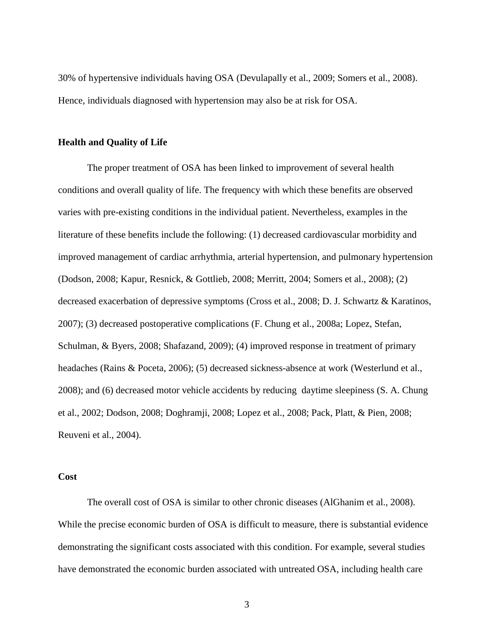30% of hypertensive individuals having OSA (Devulapally et al., 2009; Somers et al., 2008). Hence, individuals diagnosed with hypertension may also be at risk for OSA.

## <span id="page-13-0"></span>**Health and Quality of Life**

The proper treatment of OSA has been linked to improvement of several health conditions and overall quality of life. The frequency with which these benefits are observed varies with pre-existing conditions in the individual patient. Nevertheless, examples in the literature of these benefits include the following: (1) decreased cardiovascular morbidity and improved management of cardiac arrhythmia, arterial hypertension, and pulmonary hypertension (Dodson, 2008; Kapur, Resnick, & Gottlieb, 2008; Merritt, 2004; Somers et al., 2008); (2) decreased exacerbation of depressive symptoms (Cross et al., 2008; D. J. Schwartz & Karatinos, 2007); (3) decreased postoperative complications (F. Chung et al., 2008a; Lopez, Stefan, Schulman, & Byers, 2008; Shafazand, 2009); (4) improved response in treatment of primary headaches (Rains & Poceta, 2006); (5) decreased sickness-absence at work (Westerlund et al., 2008); and (6) decreased motor vehicle accidents by reducing daytime sleepiness (S. A. Chung et al., 2002; Dodson, 2008; Doghramji, 2008; Lopez et al., 2008; Pack, Platt, & Pien, 2008; Reuveni et al., 2004).

## <span id="page-13-1"></span>**Cost**

The overall cost of OSA is similar to other chronic diseases (AlGhanim et al., 2008). While the precise economic burden of OSA is difficult to measure, there is substantial evidence demonstrating the significant costs associated with this condition. For example, several studies have demonstrated the economic burden associated with untreated OSA, including health care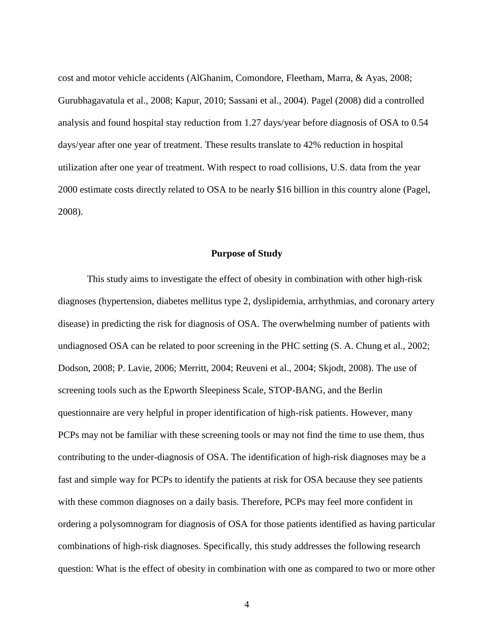cost and motor vehicle accidents (AlGhanim, Comondore, Fleetham, Marra, & Ayas, 2008; Gurubhagavatula et al., 2008; Kapur, 2010; Sassani et al., 2004). Pagel (2008) did a controlled analysis and found hospital stay reduction from 1.27 days/year before diagnosis of OSA to 0.54 days/year after one year of treatment. These results translate to 42% reduction in hospital utilization after one year of treatment. With respect to road collisions, U.S. data from the year 2000 estimate costs directly related to OSA to be nearly \$16 billion in this country alone (Pagel, 2008).

#### **Purpose of Study**

<span id="page-14-0"></span>This study aims to investigate the effect of obesity in combination with other high-risk diagnoses (hypertension, diabetes mellitus type 2, dyslipidemia, arrhythmias, and coronary artery disease) in predicting the risk for diagnosis of OSA. The overwhelming number of patients with undiagnosed OSA can be related to poor screening in the PHC setting (S. A. Chung et al., 2002; Dodson, 2008; P. Lavie, 2006; Merritt, 2004; Reuveni et al., 2004; Skjodt, 2008). The use of screening tools such as the Epworth Sleepiness Scale, STOP-BANG, and the Berlin questionnaire are very helpful in proper identification of high-risk patients. However, many PCPs may not be familiar with these screening tools or may not find the time to use them, thus contributing to the under-diagnosis of OSA. The identification of high-risk diagnoses may be a fast and simple way for PCPs to identify the patients at risk for OSA because they see patients with these common diagnoses on a daily basis. Therefore, PCPs may feel more confident in ordering a polysomnogram for diagnosis of OSA for those patients identified as having particular combinations of high-risk diagnoses. Specifically, this study addresses the following research question: What is the effect of obesity in combination with one as compared to two or more other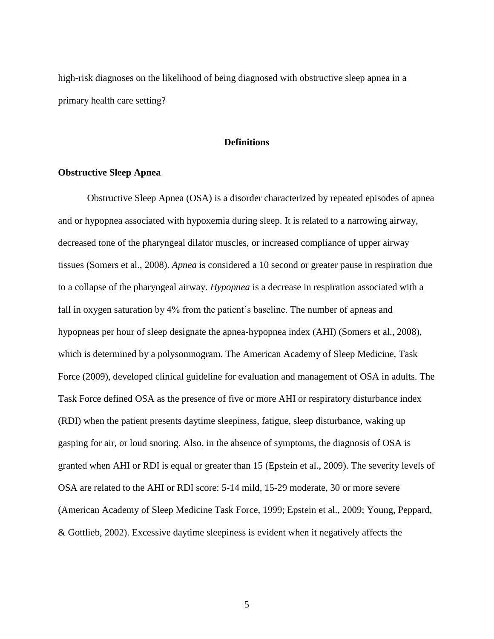<span id="page-15-0"></span>high-risk diagnoses on the likelihood of being diagnosed with obstructive sleep apnea in a primary health care setting?

## **Definitions**

## <span id="page-15-1"></span>**Obstructive Sleep Apnea**

Obstructive Sleep Apnea (OSA) is a disorder characterized by repeated episodes of apnea and or hypopnea associated with hypoxemia during sleep. It is related to a narrowing airway, decreased tone of the pharyngeal dilator muscles, or increased compliance of upper airway tissues (Somers et al., 2008). *Apnea* is considered a 10 second or greater pause in respiration due to a collapse of the pharyngeal airway. *Hypopnea* is a decrease in respiration associated with a fall in oxygen saturation by 4% from the patient's baseline. The number of apneas and hypopneas per hour of sleep designate the apnea-hypopnea index (AHI) (Somers et al., 2008), which is determined by a polysomnogram. The American Academy of Sleep Medicine, Task Force (2009), developed clinical guideline for evaluation and management of OSA in adults. The Task Force defined OSA as the presence of five or more AHI or respiratory disturbance index (RDI) when the patient presents daytime sleepiness, fatigue, sleep disturbance, waking up gasping for air, or loud snoring. Also, in the absence of symptoms, the diagnosis of OSA is granted when AHI or RDI is equal or greater than 15 (Epstein et al., 2009). The severity levels of OSA are related to the AHI or RDI score: 5-14 mild, 15-29 moderate, 30 or more severe (American Academy of Sleep Medicine Task Force, 1999; Epstein et al., 2009; Young, Peppard, & Gottlieb, 2002). Excessive daytime sleepiness is evident when it negatively affects the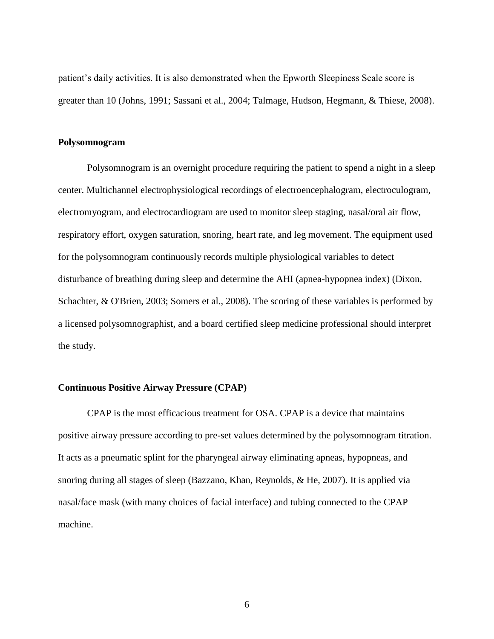patient"s daily activities. It is also demonstrated when the Epworth Sleepiness Scale score is greater than 10 (Johns, 1991; Sassani et al., 2004; Talmage, Hudson, Hegmann, & Thiese, 2008).

## <span id="page-16-0"></span>**Polysomnogram**

Polysomnogram is an overnight procedure requiring the patient to spend a night in a sleep center. Multichannel electrophysiological recordings of electroencephalogram, electroculogram, electromyogram, and electrocardiogram are used to monitor sleep staging, nasal/oral air flow, respiratory effort, oxygen saturation, snoring, heart rate, and leg movement. The equipment used for the polysomnogram continuously records multiple physiological variables to detect disturbance of breathing during sleep and determine the AHI (apnea-hypopnea index) (Dixon, Schachter, & O'Brien, 2003; Somers et al., 2008). The scoring of these variables is performed by a licensed polysomnographist, and a board certified sleep medicine professional should interpret the study.

## <span id="page-16-1"></span>**Continuous Positive Airway Pressure (CPAP)**

CPAP is the most efficacious treatment for OSA. CPAP is a device that maintains positive airway pressure according to pre-set values determined by the polysomnogram titration. It acts as a pneumatic splint for the pharyngeal airway eliminating apneas, hypopneas, and snoring during all stages of sleep (Bazzano, Khan, Reynolds, & He, 2007). It is applied via nasal/face mask (with many choices of facial interface) and tubing connected to the CPAP machine.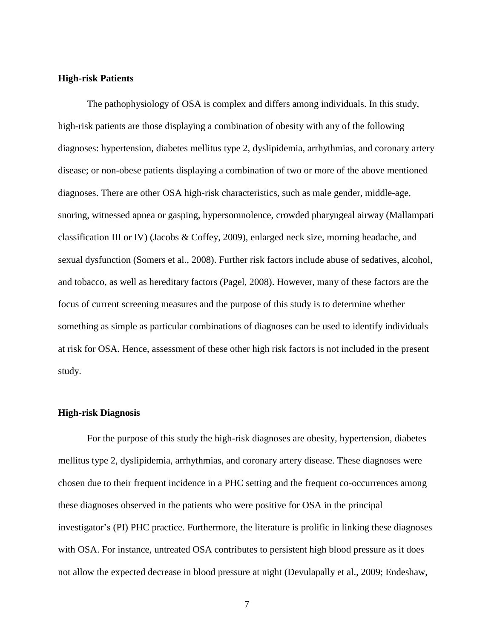#### <span id="page-17-0"></span>**High-risk Patients**

The pathophysiology of OSA is complex and differs among individuals. In this study, high-risk patients are those displaying a combination of obesity with any of the following diagnoses: hypertension, diabetes mellitus type 2, dyslipidemia, arrhythmias, and coronary artery disease; or non-obese patients displaying a combination of two or more of the above mentioned diagnoses. There are other OSA high-risk characteristics, such as male gender, middle-age, snoring, witnessed apnea or gasping, hypersomnolence, crowded pharyngeal airway (Mallampati classification III or IV) (Jacobs & Coffey, 2009), enlarged neck size, morning headache, and sexual dysfunction (Somers et al., 2008). Further risk factors include abuse of sedatives, alcohol, and tobacco, as well as hereditary factors (Pagel, 2008). However, many of these factors are the focus of current screening measures and the purpose of this study is to determine whether something as simple as particular combinations of diagnoses can be used to identify individuals at risk for OSA. Hence, assessment of these other high risk factors is not included in the present study.

## <span id="page-17-1"></span>**High-risk Diagnosis**

For the purpose of this study the high-risk diagnoses are obesity, hypertension, diabetes mellitus type 2, dyslipidemia, arrhythmias, and coronary artery disease. These diagnoses were chosen due to their frequent incidence in a PHC setting and the frequent co-occurrences among these diagnoses observed in the patients who were positive for OSA in the principal investigator's (PI) PHC practice. Furthermore, the literature is prolific in linking these diagnoses with OSA. For instance, untreated OSA contributes to persistent high blood pressure as it does not allow the expected decrease in blood pressure at night (Devulapally et al., 2009; Endeshaw,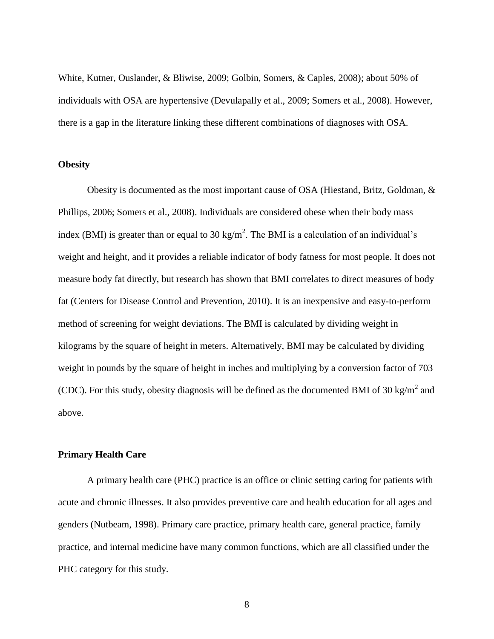White, Kutner, Ouslander, & Bliwise, 2009; Golbin, Somers, & Caples, 2008); about 50% of individuals with OSA are hypertensive (Devulapally et al., 2009; Somers et al., 2008). However, there is a gap in the literature linking these different combinations of diagnoses with OSA.

## <span id="page-18-0"></span>**Obesity**

Obesity is documented as the most important cause of OSA (Hiestand, Britz, Goldman, & Phillips, 2006; Somers et al., 2008). Individuals are considered obese when their body mass index (BMI) is greater than or equal to 30 kg/m<sup>2</sup>. The BMI is a calculation of an individual's weight and height, and it provides a reliable indicator of body fatness for most people. It does not measure body fat directly, but research has shown that BMI correlates to direct measures of body fat (Centers for Disease Control and Prevention, 2010). It is an inexpensive and easy-to-perform method of screening for weight deviations. The BMI is calculated by dividing weight in kilograms by the square of height in meters. Alternatively, BMI may be calculated by dividing weight in pounds by the square of height in inches and multiplying by a conversion factor of 703 (CDC). For this study, obesity diagnosis will be defined as the documented BMI of 30 kg/m<sup>2</sup> and above.

## <span id="page-18-1"></span>**Primary Health Care**

A primary health care (PHC) practice is an office or clinic setting caring for patients with acute and chronic illnesses. It also provides preventive care and health education for all ages and genders (Nutbeam, 1998). Primary care practice, primary health care, general practice, family practice, and internal medicine have many common functions, which are all classified under the PHC category for this study.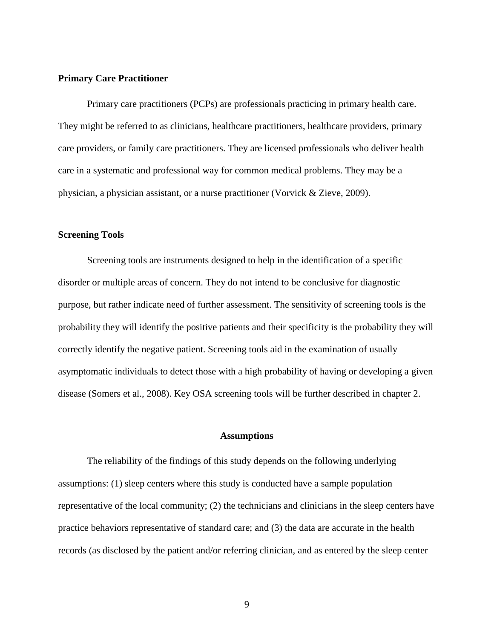## <span id="page-19-0"></span>**Primary Care Practitioner**

Primary care practitioners (PCPs) are professionals practicing in primary health care. They might be referred to as clinicians, healthcare practitioners, healthcare providers, primary care providers, or family care practitioners. They are licensed professionals who deliver health care in a systematic and professional way for common medical problems. They may be a physician, a physician assistant, or a nurse practitioner (Vorvick & Zieve, 2009).

#### <span id="page-19-1"></span>**Screening Tools**

Screening tools are instruments designed to help in the identification of a specific disorder or multiple areas of concern. They do not intend to be conclusive for diagnostic purpose, but rather indicate need of further assessment. The sensitivity of screening tools is the probability they will identify the positive patients and their specificity is the probability they will correctly identify the negative patient. Screening tools aid in the examination of usually asymptomatic individuals to detect those with a high probability of having or developing a given disease (Somers et al., 2008). Key OSA screening tools will be further described in chapter 2.

## **Assumptions**

<span id="page-19-2"></span>The reliability of the findings of this study depends on the following underlying assumptions: (1) sleep centers where this study is conducted have a sample population representative of the local community; (2) the technicians and clinicians in the sleep centers have practice behaviors representative of standard care; and (3) the data are accurate in the health records (as disclosed by the patient and/or referring clinician, and as entered by the sleep center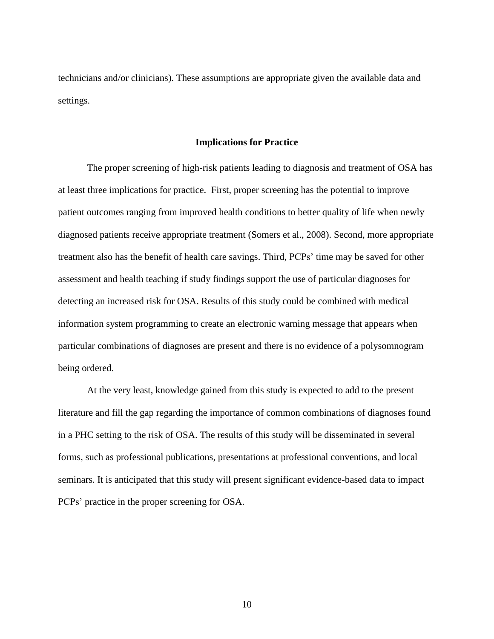<span id="page-20-0"></span>technicians and/or clinicians). These assumptions are appropriate given the available data and settings.

## **Implications for Practice**

The proper screening of high-risk patients leading to diagnosis and treatment of OSA has at least three implications for practice. First, proper screening has the potential to improve patient outcomes ranging from improved health conditions to better quality of life when newly diagnosed patients receive appropriate treatment (Somers et al., 2008). Second, more appropriate treatment also has the benefit of health care savings. Third, PCPs' time may be saved for other assessment and health teaching if study findings support the use of particular diagnoses for detecting an increased risk for OSA. Results of this study could be combined with medical information system programming to create an electronic warning message that appears when particular combinations of diagnoses are present and there is no evidence of a polysomnogram being ordered.

At the very least, knowledge gained from this study is expected to add to the present literature and fill the gap regarding the importance of common combinations of diagnoses found in a PHC setting to the risk of OSA. The results of this study will be disseminated in several forms, such as professional publications, presentations at professional conventions, and local seminars. It is anticipated that this study will present significant evidence-based data to impact PCPs" practice in the proper screening for OSA.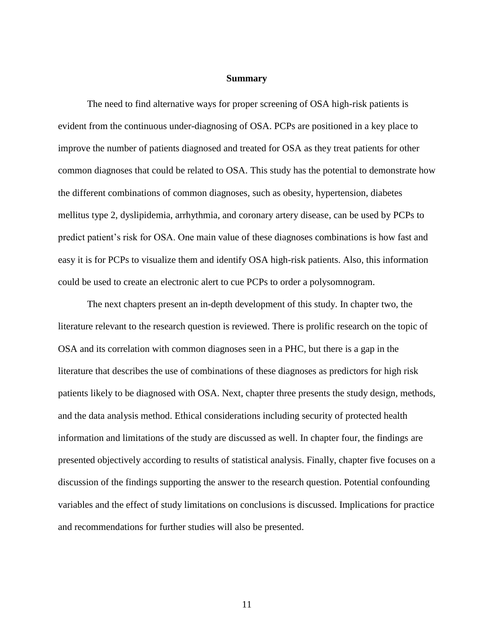#### **Summary**

<span id="page-21-0"></span>The need to find alternative ways for proper screening of OSA high-risk patients is evident from the continuous under-diagnosing of OSA. PCPs are positioned in a key place to improve the number of patients diagnosed and treated for OSA as they treat patients for other common diagnoses that could be related to OSA. This study has the potential to demonstrate how the different combinations of common diagnoses, such as obesity, hypertension, diabetes mellitus type 2, dyslipidemia, arrhythmia, and coronary artery disease, can be used by PCPs to predict patient"s risk for OSA. One main value of these diagnoses combinations is how fast and easy it is for PCPs to visualize them and identify OSA high-risk patients. Also, this information could be used to create an electronic alert to cue PCPs to order a polysomnogram.

The next chapters present an in-depth development of this study. In chapter two, the literature relevant to the research question is reviewed. There is prolific research on the topic of OSA and its correlation with common diagnoses seen in a PHC, but there is a gap in the literature that describes the use of combinations of these diagnoses as predictors for high risk patients likely to be diagnosed with OSA. Next, chapter three presents the study design, methods, and the data analysis method. Ethical considerations including security of protected health information and limitations of the study are discussed as well. In chapter four, the findings are presented objectively according to results of statistical analysis. Finally, chapter five focuses on a discussion of the findings supporting the answer to the research question. Potential confounding variables and the effect of study limitations on conclusions is discussed. Implications for practice and recommendations for further studies will also be presented.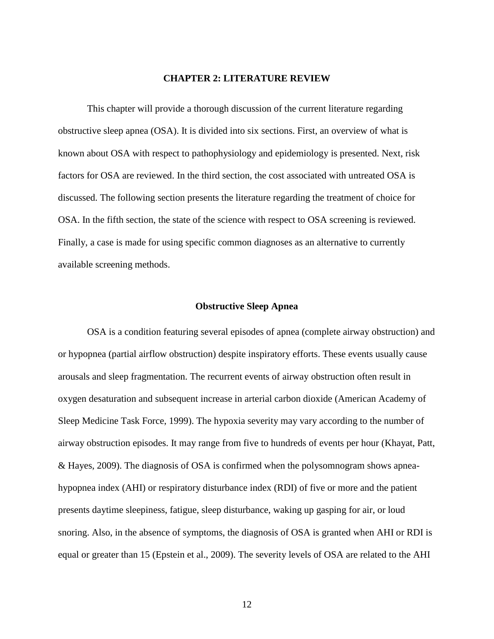## **CHAPTER 2: LITERATURE REVIEW**

<span id="page-22-0"></span>This chapter will provide a thorough discussion of the current literature regarding obstructive sleep apnea (OSA). It is divided into six sections. First, an overview of what is known about OSA with respect to pathophysiology and epidemiology is presented. Next, risk factors for OSA are reviewed. In the third section, the cost associated with untreated OSA is discussed. The following section presents the literature regarding the treatment of choice for OSA. In the fifth section, the state of the science with respect to OSA screening is reviewed. Finally, a case is made for using specific common diagnoses as an alternative to currently available screening methods.

## **Obstructive Sleep Apnea**

<span id="page-22-1"></span>OSA is a condition featuring several episodes of apnea (complete airway obstruction) and or hypopnea (partial airflow obstruction) despite inspiratory efforts. These events usually cause arousals and sleep fragmentation. The recurrent events of airway obstruction often result in oxygen desaturation and subsequent increase in arterial carbon dioxide (American Academy of Sleep Medicine Task Force, 1999). The hypoxia severity may vary according to the number of airway obstruction episodes. It may range from five to hundreds of events per hour (Khayat, Patt, & Hayes, 2009). The diagnosis of OSA is confirmed when the polysomnogram shows apneahypopnea index (AHI) or respiratory disturbance index (RDI) of five or more and the patient presents daytime sleepiness, fatigue, sleep disturbance, waking up gasping for air, or loud snoring. Also, in the absence of symptoms, the diagnosis of OSA is granted when AHI or RDI is equal or greater than 15 (Epstein et al., 2009). The severity levels of OSA are related to the AHI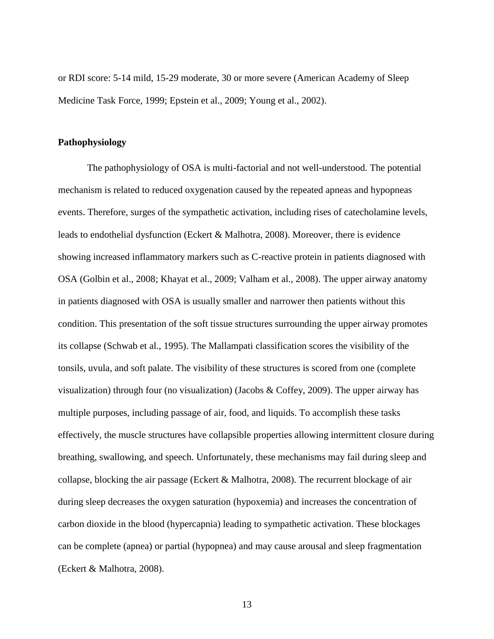or RDI score: 5-14 mild, 15-29 moderate, 30 or more severe (American Academy of Sleep Medicine Task Force, 1999; Epstein et al., 2009; Young et al., 2002).

## <span id="page-23-0"></span>**Pathophysiology**

The pathophysiology of OSA is multi-factorial and not well-understood. The potential mechanism is related to reduced oxygenation caused by the repeated apneas and hypopneas events. Therefore, surges of the sympathetic activation, including rises of catecholamine levels, leads to endothelial dysfunction (Eckert & Malhotra, 2008). Moreover, there is evidence showing increased inflammatory markers such as C-reactive protein in patients diagnosed with OSA (Golbin et al., 2008; Khayat et al., 2009; Valham et al., 2008). The upper airway anatomy in patients diagnosed with OSA is usually smaller and narrower then patients without this condition. This presentation of the soft tissue structures surrounding the upper airway promotes its collapse (Schwab et al., 1995). The Mallampati classification scores the visibility of the tonsils, uvula, and soft palate. The visibility of these structures is scored from one (complete visualization) through four (no visualization) (Jacobs & Coffey, 2009). The upper airway has multiple purposes, including passage of air, food, and liquids. To accomplish these tasks effectively, the muscle structures have collapsible properties allowing intermittent closure during breathing, swallowing, and speech. Unfortunately, these mechanisms may fail during sleep and collapse, blocking the air passage (Eckert  $&$  Malhotra, 2008). The recurrent blockage of air during sleep decreases the oxygen saturation (hypoxemia) and increases the concentration of carbon dioxide in the blood (hypercapnia) leading to sympathetic activation. These blockages can be complete (apnea) or partial (hypopnea) and may cause arousal and sleep fragmentation (Eckert & Malhotra, 2008).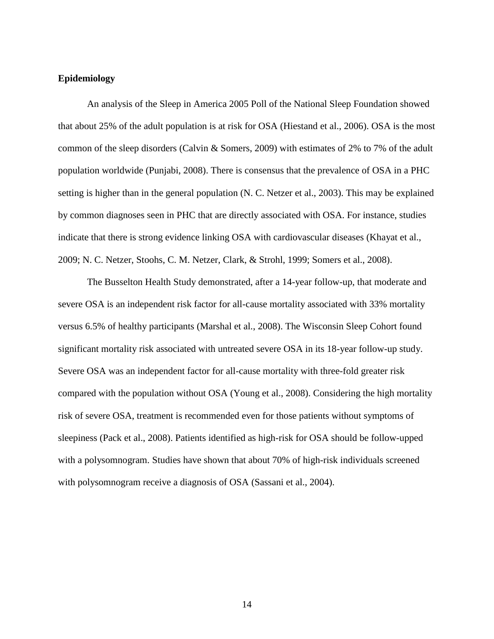## <span id="page-24-0"></span>**Epidemiology**

An analysis of the Sleep in America 2005 Poll of the National Sleep Foundation showed that about 25% of the adult population is at risk for OSA (Hiestand et al., 2006). OSA is the most common of the sleep disorders (Calvin & Somers, 2009) with estimates of 2% to 7% of the adult population worldwide (Punjabi, 2008). There is consensus that the prevalence of OSA in a PHC setting is higher than in the general population (N. C. Netzer et al., 2003). This may be explained by common diagnoses seen in PHC that are directly associated with OSA. For instance, studies indicate that there is strong evidence linking OSA with cardiovascular diseases (Khayat et al., 2009; N. C. Netzer, Stoohs, C. M. Netzer, Clark, & Strohl, 1999; Somers et al., 2008).

The Busselton Health Study demonstrated, after a 14-year follow-up, that moderate and severe OSA is an independent risk factor for all-cause mortality associated with 33% mortality versus 6.5% of healthy participants (Marshal et al., 2008). The Wisconsin Sleep Cohort found significant mortality risk associated with untreated severe OSA in its 18-year follow-up study. Severe OSA was an independent factor for all-cause mortality with three-fold greater risk compared with the population without OSA (Young et al., 2008). Considering the high mortality risk of severe OSA, treatment is recommended even for those patients without symptoms of sleepiness (Pack et al., 2008). Patients identified as high-risk for OSA should be follow-upped with a polysomnogram. Studies have shown that about 70% of high-risk individuals screened with polysomnogram receive a diagnosis of OSA (Sassani et al., 2004).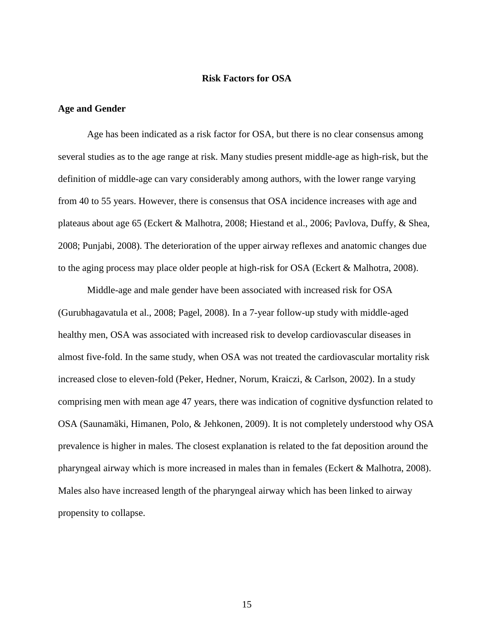## **Risk Factors for OSA**

## <span id="page-25-1"></span><span id="page-25-0"></span>**Age and Gender**

Age has been indicated as a risk factor for OSA, but there is no clear consensus among several studies as to the age range at risk. Many studies present middle-age as high-risk, but the definition of middle-age can vary considerably among authors, with the lower range varying from 40 to 55 years. However, there is consensus that OSA incidence increases with age and plateaus about age 65 (Eckert & Malhotra, 2008; Hiestand et al., 2006; Pavlova, Duffy, & Shea, 2008; Punjabi, 2008). The deterioration of the upper airway reflexes and anatomic changes due to the aging process may place older people at high-risk for OSA (Eckert & Malhotra, 2008).

Middle-age and male gender have been associated with increased risk for OSA (Gurubhagavatula et al., 2008; Pagel, 2008). In a 7-year follow-up study with middle-aged healthy men, OSA was associated with increased risk to develop cardiovascular diseases in almost five-fold. In the same study, when OSA was not treated the cardiovascular mortality risk increased close to eleven-fold (Peker, Hedner, Norum, Kraiczi, & Carlson, 2002). In a study comprising men with mean age 47 years, there was indication of cognitive dysfunction related to OSA (Saunamäki, Himanen, Polo, & Jehkonen, 2009). It is not completely understood why OSA prevalence is higher in males. The closest explanation is related to the fat deposition around the pharyngeal airway which is more increased in males than in females (Eckert & Malhotra, 2008). Males also have increased length of the pharyngeal airway which has been linked to airway propensity to collapse.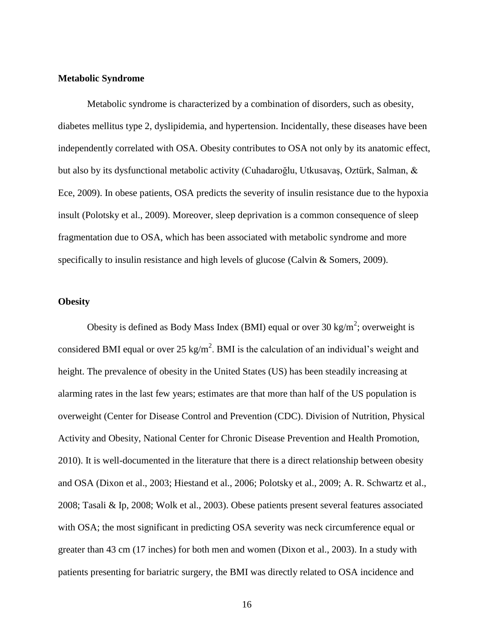## <span id="page-26-0"></span>**Metabolic Syndrome**

Metabolic syndrome is characterized by a combination of disorders, such as obesity, diabetes mellitus type 2, dyslipidemia, and hypertension. Incidentally, these diseases have been independently correlated with OSA. Obesity contributes to OSA not only by its anatomic effect, but also by its dysfunctional metabolic activity (Cuhadaroğlu, Utkusavaş, Oztürk, Salman, & Ece, 2009). In obese patients, OSA predicts the severity of insulin resistance due to the hypoxia insult (Polotsky et al., 2009). Moreover, sleep deprivation is a common consequence of sleep fragmentation due to OSA, which has been associated with metabolic syndrome and more specifically to insulin resistance and high levels of glucose (Calvin & Somers, 2009).

## <span id="page-26-1"></span>**Obesity**

Obesity is defined as Body Mass Index (BMI) equal or over 30 kg/m<sup>2</sup>; overweight is considered BMI equal or over 25 kg/m<sup>2</sup>. BMI is the calculation of an individual's weight and height. The prevalence of obesity in the United States (US) has been steadily increasing at alarming rates in the last few years; estimates are that more than half of the US population is overweight (Center for Disease Control and Prevention (CDC). Division of Nutrition, Physical Activity and Obesity, National Center for Chronic Disease Prevention and Health Promotion, 2010). It is well-documented in the literature that there is a direct relationship between obesity and OSA (Dixon et al., 2003; Hiestand et al., 2006; Polotsky et al., 2009; A. R. Schwartz et al., 2008; Tasali & Ip, 2008; Wolk et al., 2003). Obese patients present several features associated with OSA; the most significant in predicting OSA severity was neck circumference equal or greater than 43 cm (17 inches) for both men and women (Dixon et al., 2003). In a study with patients presenting for bariatric surgery, the BMI was directly related to OSA incidence and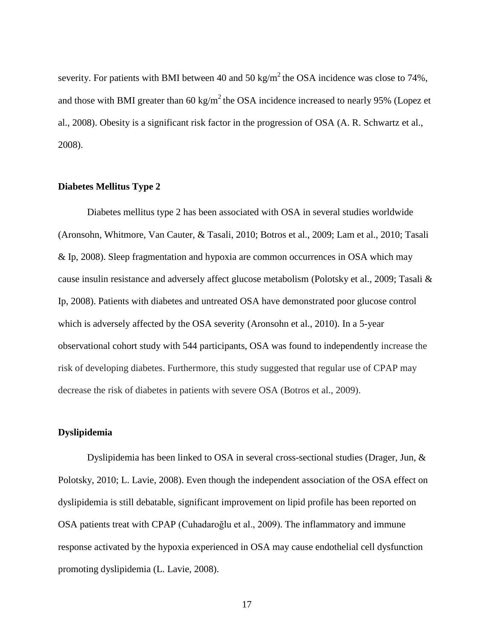severity. For patients with BMI between 40 and 50 kg/m<sup>2</sup> the OSA incidence was close to 74%, and those with BMI greater than 60 kg/m<sup>2</sup> the OSA incidence increased to nearly 95% (Lopez et al., 2008). Obesity is a significant risk factor in the progression of OSA (A. R. Schwartz et al., 2008).

## <span id="page-27-0"></span>**Diabetes Mellitus Type 2**

Diabetes mellitus type 2 has been associated with OSA in several studies worldwide (Aronsohn, Whitmore, Van Cauter, & Tasali, 2010; Botros et al., 2009; Lam et al., 2010; Tasali & Ip, 2008). Sleep fragmentation and hypoxia are common occurrences in OSA which may cause insulin resistance and adversely affect glucose metabolism (Polotsky et al., 2009; Tasali & Ip, 2008). Patients with diabetes and untreated OSA have demonstrated poor glucose control which is adversely affected by the OSA severity (Aronsohn et al., 2010). In a 5-year observational cohort study with 544 participants, OSA was found to independently increase the risk of developing diabetes. Furthermore, this study suggested that regular use of CPAP may decrease the risk of diabetes in patients with severe OSA (Botros et al., 2009).

## <span id="page-27-1"></span>**Dyslipidemia**

Dyslipidemia has been linked to OSA in several cross-sectional studies (Drager, Jun, & Polotsky, 2010; L. Lavie, 2008). Even though the independent association of the OSA effect on dyslipidemia is still debatable, significant improvement on lipid profile has been reported on OSA patients treat with CPAP (Cuhadaroğlu et al., 2009). The inflammatory and immune response activated by the hypoxia experienced in OSA may cause endothelial cell dysfunction promoting dyslipidemia (L. Lavie, 2008).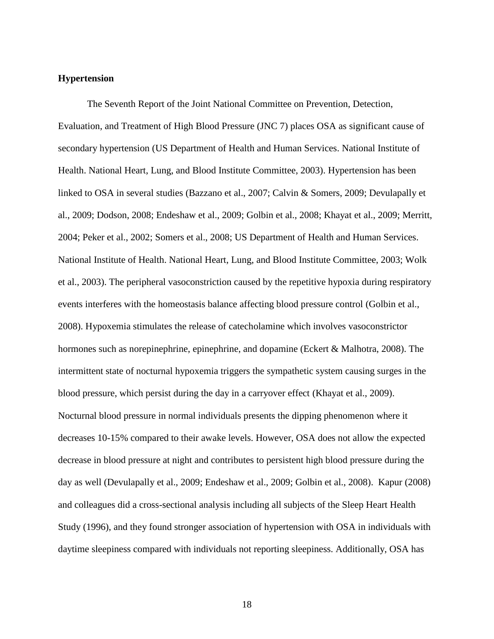## <span id="page-28-0"></span>**Hypertension**

The Seventh Report of the Joint National Committee on Prevention, Detection, Evaluation, and Treatment of High Blood Pressure (JNC 7) places OSA as significant cause of secondary hypertension (US Department of Health and Human Services. National Institute of Health. National Heart, Lung, and Blood Institute Committee, 2003). Hypertension has been linked to OSA in several studies (Bazzano et al., 2007; Calvin & Somers, 2009; Devulapally et al., 2009; Dodson, 2008; Endeshaw et al., 2009; Golbin et al., 2008; Khayat et al., 2009; Merritt, 2004; Peker et al., 2002; Somers et al., 2008; US Department of Health and Human Services. National Institute of Health. National Heart, Lung, and Blood Institute Committee, 2003; Wolk et al., 2003). The peripheral vasoconstriction caused by the repetitive hypoxia during respiratory events interferes with the homeostasis balance affecting blood pressure control (Golbin et al., 2008). Hypoxemia stimulates the release of catecholamine which involves vasoconstrictor hormones such as norepinephrine, epinephrine, and dopamine (Eckert & Malhotra, 2008). The intermittent state of nocturnal hypoxemia triggers the sympathetic system causing surges in the blood pressure, which persist during the day in a carryover effect (Khayat et al., 2009). Nocturnal blood pressure in normal individuals presents the dipping phenomenon where it decreases 10-15% compared to their awake levels. However, OSA does not allow the expected decrease in blood pressure at night and contributes to persistent high blood pressure during the day as well (Devulapally et al., 2009; Endeshaw et al., 2009; Golbin et al., 2008). Kapur (2008) and colleagues did a cross-sectional analysis including all subjects of the Sleep Heart Health Study (1996), and they found stronger association of hypertension with OSA in individuals with daytime sleepiness compared with individuals not reporting sleepiness. Additionally, OSA has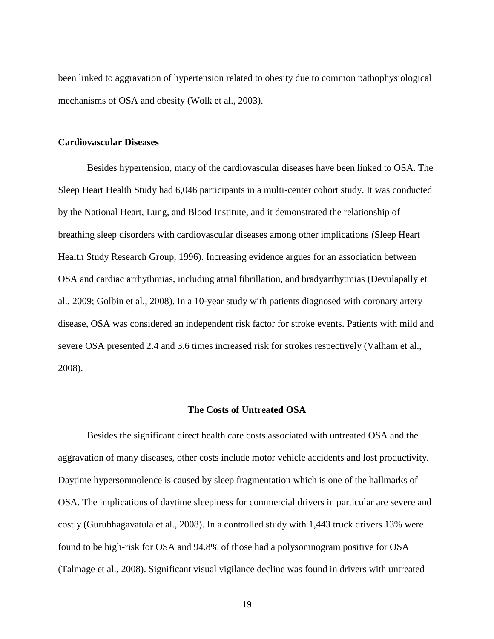been linked to aggravation of hypertension related to obesity due to common pathophysiological mechanisms of OSA and obesity (Wolk et al., 2003).

## <span id="page-29-0"></span>**Cardiovascular Diseases**

Besides hypertension, many of the cardiovascular diseases have been linked to OSA. The Sleep Heart Health Study had 6,046 participants in a multi-center cohort study. It was conducted by the National Heart, Lung, and Blood Institute, and it demonstrated the relationship of breathing sleep disorders with cardiovascular diseases among other implications (Sleep Heart Health Study Research Group, 1996). Increasing evidence argues for an association between OSA and cardiac arrhythmias, including atrial fibrillation, and bradyarrhytmias (Devulapally et al., 2009; Golbin et al., 2008). In a 10-year study with patients diagnosed with coronary artery disease, OSA was considered an independent risk factor for stroke events. Patients with mild and severe OSA presented 2.4 and 3.6 times increased risk for strokes respectively (Valham et al., 2008).

## **The Costs of Untreated OSA**

<span id="page-29-1"></span>Besides the significant direct health care costs associated with untreated OSA and the aggravation of many diseases, other costs include motor vehicle accidents and lost productivity. Daytime hypersomnolence is caused by sleep fragmentation which is one of the hallmarks of OSA. The implications of daytime sleepiness for commercial drivers in particular are severe and costly (Gurubhagavatula et al., 2008). In a controlled study with 1,443 truck drivers 13% were found to be high-risk for OSA and 94.8% of those had a polysomnogram positive for OSA (Talmage et al., 2008). Significant visual vigilance decline was found in drivers with untreated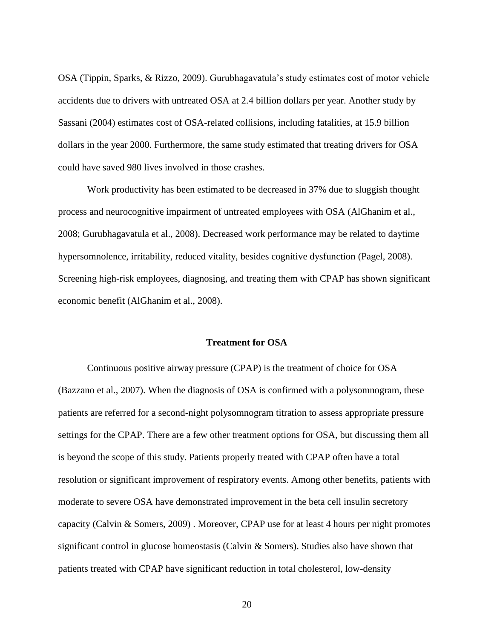OSA (Tippin, Sparks, & Rizzo, 2009). Gurubhagavatula"s study estimates cost of motor vehicle accidents due to drivers with untreated OSA at 2.4 billion dollars per year. Another study by Sassani (2004) estimates cost of OSA-related collisions, including fatalities, at 15.9 billion dollars in the year 2000. Furthermore, the same study estimated that treating drivers for OSA could have saved 980 lives involved in those crashes.

Work productivity has been estimated to be decreased in 37% due to sluggish thought process and neurocognitive impairment of untreated employees with OSA (AlGhanim et al., 2008; Gurubhagavatula et al., 2008). Decreased work performance may be related to daytime hypersomnolence, irritability, reduced vitality, besides cognitive dysfunction (Pagel, 2008). Screening high-risk employees, diagnosing, and treating them with CPAP has shown significant economic benefit (AlGhanim et al., 2008).

## **Treatment for OSA**

<span id="page-30-0"></span>Continuous positive airway pressure (CPAP) is the treatment of choice for OSA (Bazzano et al., 2007). When the diagnosis of OSA is confirmed with a polysomnogram, these patients are referred for a second-night polysomnogram titration to assess appropriate pressure settings for the CPAP. There are a few other treatment options for OSA, but discussing them all is beyond the scope of this study. Patients properly treated with CPAP often have a total resolution or significant improvement of respiratory events. Among other benefits, patients with moderate to severe OSA have demonstrated improvement in the beta cell insulin secretory capacity (Calvin & Somers, 2009) . Moreover, CPAP use for at least 4 hours per night promotes significant control in glucose homeostasis (Calvin & Somers). Studies also have shown that patients treated with CPAP have significant reduction in total cholesterol, low-density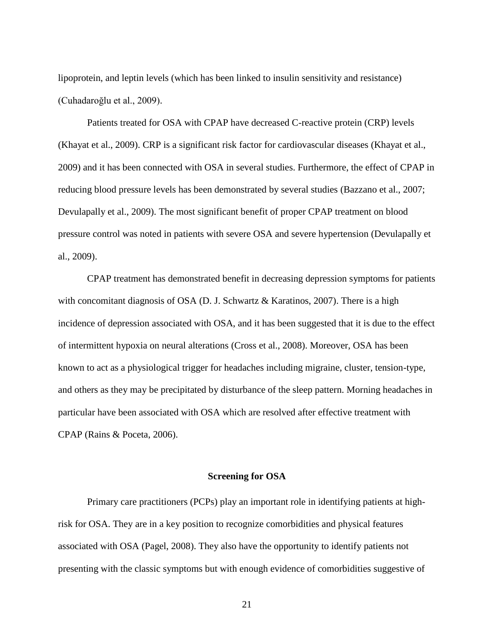lipoprotein, and leptin levels (which has been linked to insulin sensitivity and resistance) (Cuhadaroğlu et al., 2009).

Patients treated for OSA with CPAP have decreased C-reactive protein (CRP) levels (Khayat et al., 2009). CRP is a significant risk factor for cardiovascular diseases (Khayat et al., 2009) and it has been connected with OSA in several studies. Furthermore, the effect of CPAP in reducing blood pressure levels has been demonstrated by several studies (Bazzano et al., 2007; Devulapally et al., 2009). The most significant benefit of proper CPAP treatment on blood pressure control was noted in patients with severe OSA and severe hypertension (Devulapally et al., 2009).

CPAP treatment has demonstrated benefit in decreasing depression symptoms for patients with concomitant diagnosis of OSA (D. J. Schwartz & Karatinos, 2007). There is a high incidence of depression associated with OSA, and it has been suggested that it is due to the effect of intermittent hypoxia on neural alterations (Cross et al., 2008). Moreover, OSA has been known to act as a physiological trigger for headaches including migraine, cluster, tension-type, and others as they may be precipitated by disturbance of the sleep pattern. Morning headaches in particular have been associated with OSA which are resolved after effective treatment with CPAP (Rains & Poceta, 2006).

## **Screening for OSA**

<span id="page-31-0"></span>Primary care practitioners (PCPs) play an important role in identifying patients at highrisk for OSA. They are in a key position to recognize comorbidities and physical features associated with OSA (Pagel, 2008). They also have the opportunity to identify patients not presenting with the classic symptoms but with enough evidence of comorbidities suggestive of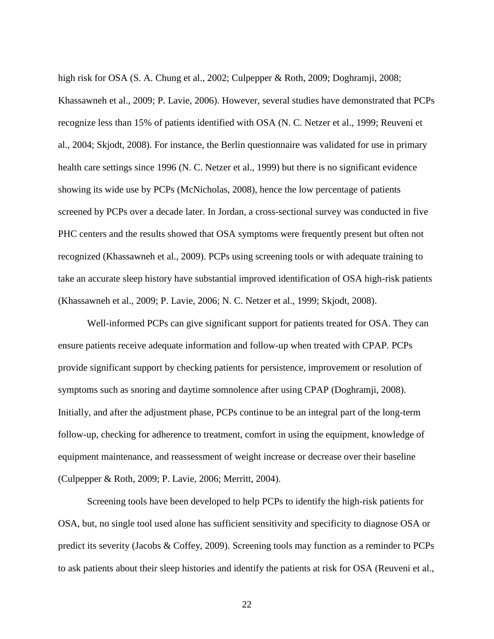high risk for OSA (S. A. Chung et al., 2002; Culpepper & Roth, 2009; Doghramji, 2008; Khassawneh et al., 2009; P. Lavie, 2006). However, several studies have demonstrated that PCPs recognize less than 15% of patients identified with OSA (N. C. Netzer et al., 1999; Reuveni et al., 2004; Skjodt, 2008). For instance, the Berlin questionnaire was validated for use in primary health care settings since 1996 (N. C. Netzer et al., 1999) but there is no significant evidence showing its wide use by PCPs (McNicholas, 2008), hence the low percentage of patients screened by PCPs over a decade later. In Jordan, a cross-sectional survey was conducted in five PHC centers and the results showed that OSA symptoms were frequently present but often not recognized (Khassawneh et al., 2009). PCPs using screening tools or with adequate training to take an accurate sleep history have substantial improved identification of OSA high-risk patients (Khassawneh et al., 2009; P. Lavie, 2006; N. C. Netzer et al., 1999; Skjodt, 2008).

Well-informed PCPs can give significant support for patients treated for OSA. They can ensure patients receive adequate information and follow-up when treated with CPAP. PCPs provide significant support by checking patients for persistence, improvement or resolution of symptoms such as snoring and daytime somnolence after using CPAP (Doghramji, 2008). Initially, and after the adjustment phase, PCPs continue to be an integral part of the long-term follow-up, checking for adherence to treatment, comfort in using the equipment, knowledge of equipment maintenance, and reassessment of weight increase or decrease over their baseline (Culpepper & Roth, 2009; P. Lavie, 2006; Merritt, 2004).

Screening tools have been developed to help PCPs to identify the high-risk patients for OSA, but, no single tool used alone has sufficient sensitivity and specificity to diagnose OSA or predict its severity (Jacobs & Coffey, 2009). Screening tools may function as a reminder to PCPs to ask patients about their sleep histories and identify the patients at risk for OSA (Reuveni et al.,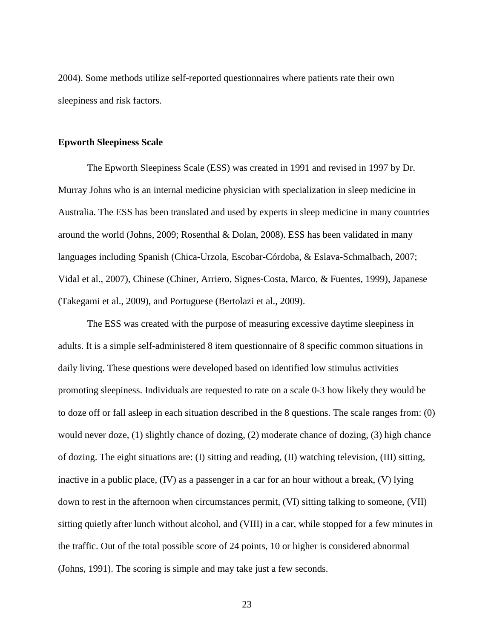2004). Some methods utilize self-reported questionnaires where patients rate their own sleepiness and risk factors.

## <span id="page-33-0"></span>**Epworth Sleepiness Scale**

The Epworth Sleepiness Scale (ESS) was created in 1991 and revised in 1997 by Dr. Murray Johns who is an internal medicine physician with specialization in sleep medicine in Australia. The ESS has been translated and used by experts in sleep medicine in many countries around the world (Johns, 2009; Rosenthal & Dolan, 2008). ESS has been validated in many languages including Spanish (Chica-Urzola, Escobar-Córdoba, & Eslava-Schmalbach, 2007; Vidal et al., 2007), Chinese (Chiner, Arriero, Signes-Costa, Marco, & Fuentes, 1999), Japanese (Takegami et al., 2009), and Portuguese (Bertolazi et al., 2009).

The ESS was created with the purpose of measuring excessive daytime sleepiness in adults. It is a simple self-administered 8 item questionnaire of 8 specific common situations in daily living. These questions were developed based on identified low stimulus activities promoting sleepiness. Individuals are requested to rate on a scale 0-3 how likely they would be to doze off or fall asleep in each situation described in the 8 questions. The scale ranges from: (0) would never doze, (1) slightly chance of dozing, (2) moderate chance of dozing, (3) high chance of dozing. The eight situations are: (I) sitting and reading, (II) watching television, (III) sitting, inactive in a public place, (IV) as a passenger in a car for an hour without a break, (V) lying down to rest in the afternoon when circumstances permit, (VI) sitting talking to someone, (VII) sitting quietly after lunch without alcohol, and (VIII) in a car, while stopped for a few minutes in the traffic. Out of the total possible score of 24 points, 10 or higher is considered abnormal (Johns, 1991). The scoring is simple and may take just a few seconds.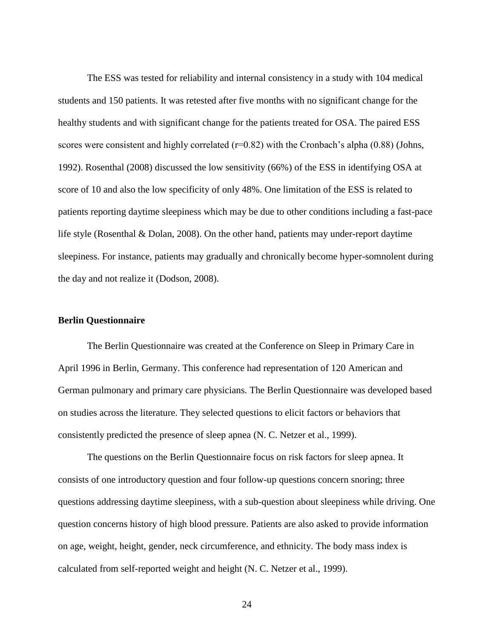The ESS was tested for reliability and internal consistency in a study with 104 medical students and 150 patients. It was retested after five months with no significant change for the healthy students and with significant change for the patients treated for OSA. The paired ESS scores were consistent and highly correlated  $(r=0.82)$  with the Cronbach's alpha  $(0.88)$  (Johns, 1992). Rosenthal (2008) discussed the low sensitivity (66%) of the ESS in identifying OSA at score of 10 and also the low specificity of only 48%. One limitation of the ESS is related to patients reporting daytime sleepiness which may be due to other conditions including a fast-pace life style (Rosenthal & Dolan, 2008). On the other hand, patients may under-report daytime sleepiness. For instance, patients may gradually and chronically become hyper-somnolent during the day and not realize it (Dodson, 2008).

## <span id="page-34-0"></span>**Berlin Questionnaire**

The Berlin Questionnaire was created at the Conference on Sleep in Primary Care in April 1996 in Berlin, Germany. This conference had representation of 120 American and German pulmonary and primary care physicians. The Berlin Questionnaire was developed based on studies across the literature. They selected questions to elicit factors or behaviors that consistently predicted the presence of sleep apnea (N. C. Netzer et al., 1999).

The questions on the Berlin Questionnaire focus on risk factors for sleep apnea. It consists of one introductory question and four follow-up questions concern snoring; three questions addressing daytime sleepiness, with a sub-question about sleepiness while driving. One question concerns history of high blood pressure. Patients are also asked to provide information on age, weight, height, gender, neck circumference, and ethnicity. The body mass index is calculated from self-reported weight and height (N. C. Netzer et al., 1999).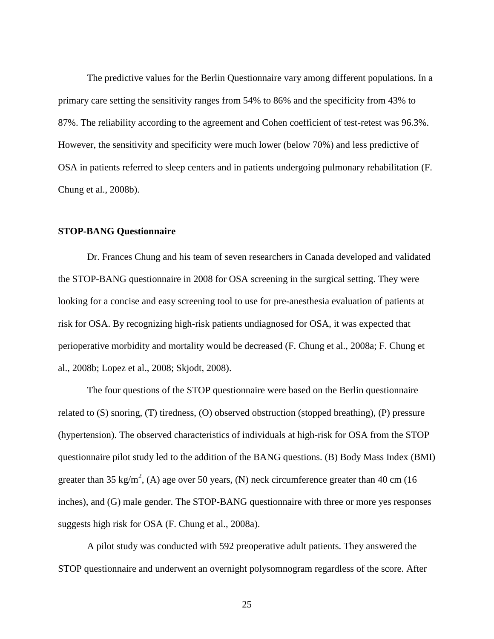The predictive values for the Berlin Questionnaire vary among different populations. In a primary care setting the sensitivity ranges from 54% to 86% and the specificity from 43% to 87%. The reliability according to the agreement and Cohen coefficient of test-retest was 96.3%. However, the sensitivity and specificity were much lower (below 70%) and less predictive of OSA in patients referred to sleep centers and in patients undergoing pulmonary rehabilitation (F. Chung et al., 2008b).

## <span id="page-35-0"></span>**STOP-BANG Questionnaire**

Dr. Frances Chung and his team of seven researchers in Canada developed and validated the STOP-BANG questionnaire in 2008 for OSA screening in the surgical setting. They were looking for a concise and easy screening tool to use for pre-anesthesia evaluation of patients at risk for OSA. By recognizing high-risk patients undiagnosed for OSA, it was expected that perioperative morbidity and mortality would be decreased (F. Chung et al., 2008a; F. Chung et al., 2008b; Lopez et al., 2008; Skjodt, 2008).

The four questions of the STOP questionnaire were based on the Berlin questionnaire related to (S) snoring, (T) tiredness, (O) observed obstruction (stopped breathing), (P) pressure (hypertension). The observed characteristics of individuals at high-risk for OSA from the STOP questionnaire pilot study led to the addition of the BANG questions. (B) Body Mass Index (BMI) greater than 35 kg/m<sup>2</sup>, (A) age over 50 years, (N) neck circumference greater than 40 cm (16 inches), and (G) male gender. The STOP-BANG questionnaire with three or more yes responses suggests high risk for OSA (F. Chung et al., 2008a).

A pilot study was conducted with 592 preoperative adult patients. They answered the STOP questionnaire and underwent an overnight polysomnogram regardless of the score. After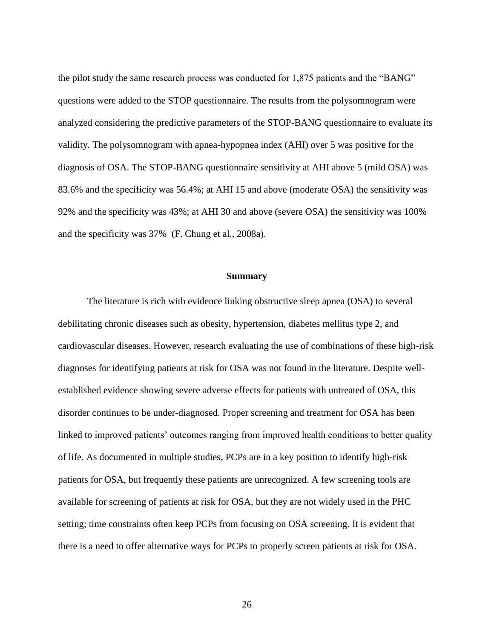the pilot study the same research process was conducted for 1,875 patients and the "BANG" questions were added to the STOP questionnaire. The results from the polysomnogram were analyzed considering the predictive parameters of the STOP-BANG questionnaire to evaluate its validity. The polysomnogram with apnea-hypopnea index (AHI) over 5 was positive for the diagnosis of OSA. The STOP-BANG questionnaire sensitivity at AHI above 5 (mild OSA) was 83.6% and the specificity was 56.4%; at AHI 15 and above (moderate OSA) the sensitivity was 92% and the specificity was 43%; at AHI 30 and above (severe OSA) the sensitivity was 100% and the specificity was 37% (F. Chung et al., 2008a).

#### **Summary**

The literature is rich with evidence linking obstructive sleep apnea (OSA) to several debilitating chronic diseases such as obesity, hypertension, diabetes mellitus type 2, and cardiovascular diseases. However, research evaluating the use of combinations of these high-risk diagnoses for identifying patients at risk for OSA was not found in the literature. Despite wellestablished evidence showing severe adverse effects for patients with untreated of OSA, this disorder continues to be under-diagnosed. Proper screening and treatment for OSA has been linked to improved patients' outcomes ranging from improved health conditions to better quality of life. As documented in multiple studies, PCPs are in a key position to identify high-risk patients for OSA, but frequently these patients are unrecognized. A few screening tools are available for screening of patients at risk for OSA, but they are not widely used in the PHC setting; time constraints often keep PCPs from focusing on OSA screening. It is evident that there is a need to offer alternative ways for PCPs to properly screen patients at risk for OSA.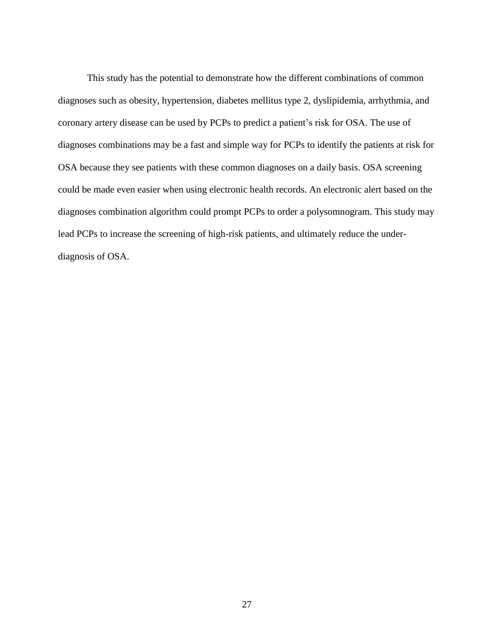This study has the potential to demonstrate how the different combinations of common diagnoses such as obesity, hypertension, diabetes mellitus type 2, dyslipidemia, arrhythmia, and coronary artery disease can be used by PCPs to predict a patient"s risk for OSA. The use of diagnoses combinations may be a fast and simple way for PCPs to identify the patients at risk for OSA because they see patients with these common diagnoses on a daily basis. OSA screening could be made even easier when using electronic health records. An electronic alert based on the diagnoses combination algorithm could prompt PCPs to order a polysomnogram. This study may lead PCPs to increase the screening of high-risk patients, and ultimately reduce the underdiagnosis of OSA.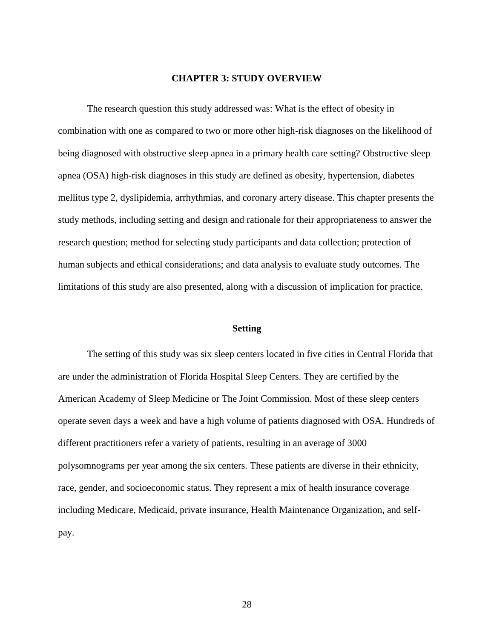#### **CHAPTER 3: STUDY OVERVIEW**

The research question this study addressed was: What is the effect of obesity in combination with one as compared to two or more other high-risk diagnoses on the likelihood of being diagnosed with obstructive sleep apnea in a primary health care setting? Obstructive sleep apnea (OSA) high-risk diagnoses in this study are defined as obesity, hypertension, diabetes mellitus type 2, dyslipidemia, arrhythmias, and coronary artery disease. This chapter presents the study methods, including setting and design and rationale for their appropriateness to answer the research question; method for selecting study participants and data collection; protection of human subjects and ethical considerations; and data analysis to evaluate study outcomes. The limitations of this study are also presented, along with a discussion of implication for practice.

#### **Setting**

The setting of this study was six sleep centers located in five cities in Central Florida that are under the administration of Florida Hospital Sleep Centers. They are certified by the American Academy of Sleep Medicine or The Joint Commission. Most of these sleep centers operate seven days a week and have a high volume of patients diagnosed with OSA. Hundreds of different practitioners refer a variety of patients, resulting in an average of 3000 polysomnograms per year among the six centers. These patients are diverse in their ethnicity, race, gender, and socioeconomic status. They represent a mix of health insurance coverage including Medicare, Medicaid, private insurance, Health Maintenance Organization, and selfpay.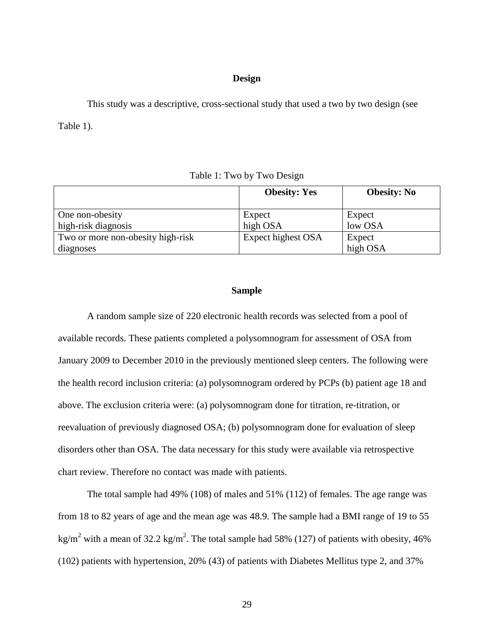## **Design**

This study was a descriptive, cross-sectional study that used a two by two design (see Table 1).

Table 1: Two by Two Design

|                                   | <b>Obesity: Yes</b> | <b>Obesity: No</b> |
|-----------------------------------|---------------------|--------------------|
| One non-obesity                   | Expect              | Expect             |
| high-risk diagnosis               | high OSA            | low OSA            |
| Two or more non-obesity high-risk | Expect highest OSA  | Expect             |
| diagnoses                         |                     | high OSA           |

## **Sample**

A random sample size of 220 electronic health records was selected from a pool of available records. These patients completed a polysomnogram for assessment of OSA from January 2009 to December 2010 in the previously mentioned sleep centers. The following were the health record inclusion criteria: (a) polysomnogram ordered by PCPs (b) patient age 18 and above. The exclusion criteria were: (a) polysomnogram done for titration, re-titration, or reevaluation of previously diagnosed OSA; (b) polysomnogram done for evaluation of sleep disorders other than OSA. The data necessary for this study were available via retrospective chart review. Therefore no contact was made with patients.

The total sample had 49% (108) of males and 51% (112) of females. The age range was from 18 to 82 years of age and the mean age was 48.9. The sample had a BMI range of 19 to 55 kg/m<sup>2</sup> with a mean of 32.2 kg/m<sup>2</sup>. The total sample had 58% (127) of patients with obesity, 46% (102) patients with hypertension, 20% (43) of patients with Diabetes Mellitus type 2, and 37%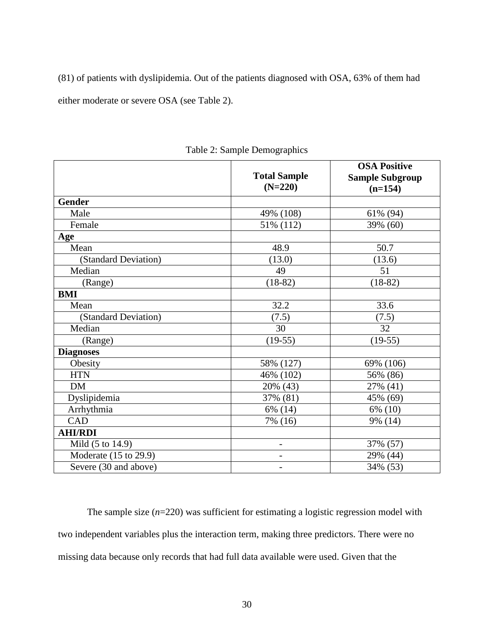(81) of patients with dyslipidemia. Out of the patients diagnosed with OSA, 63% of them had either moderate or severe OSA (see Table 2).

|                       |                          | <b>OSA Positive</b>    |  |
|-----------------------|--------------------------|------------------------|--|
|                       | <b>Total Sample</b>      | <b>Sample Subgroup</b> |  |
|                       | $(N=220)$                | $(n=154)$              |  |
| <b>Gender</b>         |                          |                        |  |
| Male                  | 49% (108)                | 61% (94)               |  |
| Female                | 51% (112)                | 39% (60)               |  |
| Age                   |                          |                        |  |
| Mean                  | 48.9                     | 50.7                   |  |
| (Standard Deviation)  | (13.0)                   | (13.6)                 |  |
| Median                | 49                       | 51                     |  |
| (Range)               | $(18-82)$                | $(18-82)$              |  |
| <b>BMI</b>            |                          |                        |  |
| Mean                  | 32.2                     | 33.6                   |  |
| (Standard Deviation)  | (7.5)                    | (7.5)                  |  |
| Median                | 30                       | 32                     |  |
| (Range)               | $(19-55)$                | $(19-55)$              |  |
| <b>Diagnoses</b>      |                          |                        |  |
| Obesity               | 58% (127)                | 69% (106)              |  |
| <b>HTN</b>            | 46% (102)                | 56% (86)               |  |
| <b>DM</b>             | 20% (43)                 | 27% (41)               |  |
| Dyslipidemia          | 37% (81)                 | 45% (69)               |  |
| Arrhythmia            | 6% (14)                  | 6% (10)                |  |
| CAD                   | 7% (16)                  | 9% (14)                |  |
| <b>AHI/RDI</b>        |                          |                        |  |
| Mild (5 to 14.9)      | $\overline{a}$           | 37% (57)               |  |
| Moderate (15 to 29.9) | $\overline{\phantom{0}}$ | 29% (44)               |  |
| Severe (30 and above) | $\overline{\phantom{0}}$ | 34% (53)               |  |

Table 2: Sample Demographics

The sample size (*n*=220) was sufficient for estimating a logistic regression model with two independent variables plus the interaction term, making three predictors. There were no missing data because only records that had full data available were used. Given that the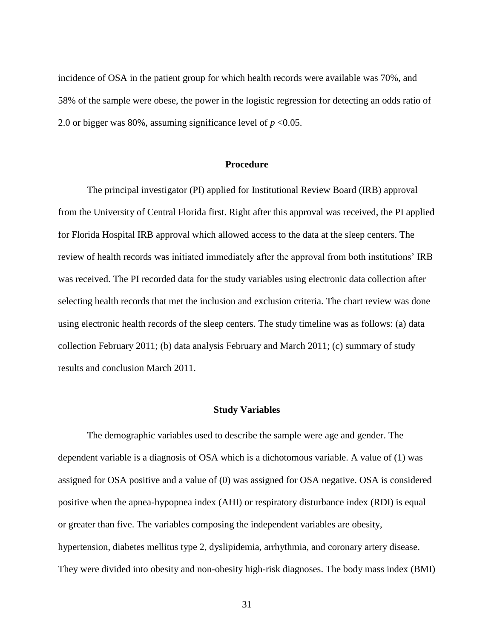incidence of OSA in the patient group for which health records were available was 70%, and 58% of the sample were obese, the power in the logistic regression for detecting an odds ratio of 2.0 or bigger was 80%, assuming significance level of  $p < 0.05$ .

## **Procedure**

The principal investigator (PI) applied for Institutional Review Board (IRB) approval from the University of Central Florida first. Right after this approval was received, the PI applied for Florida Hospital IRB approval which allowed access to the data at the sleep centers. The review of health records was initiated immediately after the approval from both institutions" IRB was received. The PI recorded data for the study variables using electronic data collection after selecting health records that met the inclusion and exclusion criteria. The chart review was done using electronic health records of the sleep centers. The study timeline was as follows: (a) data collection February 2011; (b) data analysis February and March 2011; (c) summary of study results and conclusion March 2011.

#### **Study Variables**

The demographic variables used to describe the sample were age and gender. The dependent variable is a diagnosis of OSA which is a dichotomous variable. A value of (1) was assigned for OSA positive and a value of (0) was assigned for OSA negative. OSA is considered positive when the apnea-hypopnea index (AHI) or respiratory disturbance index (RDI) is equal or greater than five. The variables composing the independent variables are obesity, hypertension, diabetes mellitus type 2, dyslipidemia, arrhythmia, and coronary artery disease. They were divided into obesity and non-obesity high-risk diagnoses. The body mass index (BMI)

31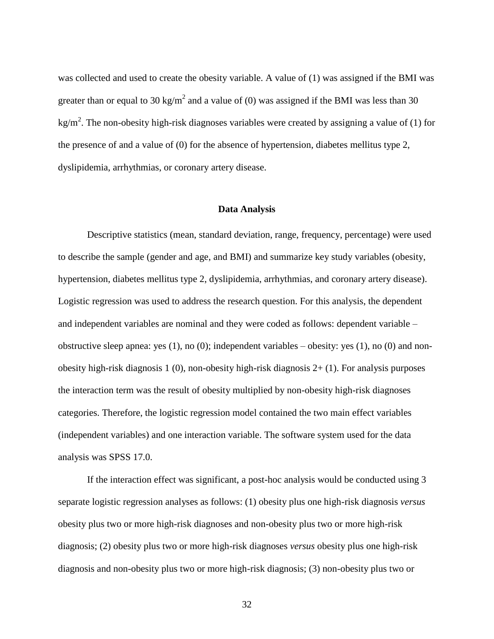was collected and used to create the obesity variable. A value of (1) was assigned if the BMI was greater than or equal to 30 kg/m<sup>2</sup> and a value of (0) was assigned if the BMI was less than 30 kg/m<sup>2</sup>. The non-obesity high-risk diagnoses variables were created by assigning a value of (1) for the presence of and a value of (0) for the absence of hypertension, diabetes mellitus type 2, dyslipidemia, arrhythmias, or coronary artery disease.

#### **Data Analysis**

Descriptive statistics (mean, standard deviation, range, frequency, percentage) were used to describe the sample (gender and age, and BMI) and summarize key study variables (obesity, hypertension, diabetes mellitus type 2, dyslipidemia, arrhythmias, and coronary artery disease). Logistic regression was used to address the research question. For this analysis, the dependent and independent variables are nominal and they were coded as follows: dependent variable – obstructive sleep apnea: yes (1), no (0); independent variables – obesity: yes (1), no (0) and nonobesity high-risk diagnosis 1 (0), non-obesity high-risk diagnosis 2+ (1). For analysis purposes the interaction term was the result of obesity multiplied by non-obesity high-risk diagnoses categories. Therefore, the logistic regression model contained the two main effect variables (independent variables) and one interaction variable. The software system used for the data analysis was SPSS 17.0.

If the interaction effect was significant, a post-hoc analysis would be conducted using 3 separate logistic regression analyses as follows: (1) obesity plus one high-risk diagnosis *versus* obesity plus two or more high-risk diagnoses and non-obesity plus two or more high-risk diagnosis; (2) obesity plus two or more high-risk diagnoses *versus* obesity plus one high-risk diagnosis and non-obesity plus two or more high-risk diagnosis; (3) non-obesity plus two or

32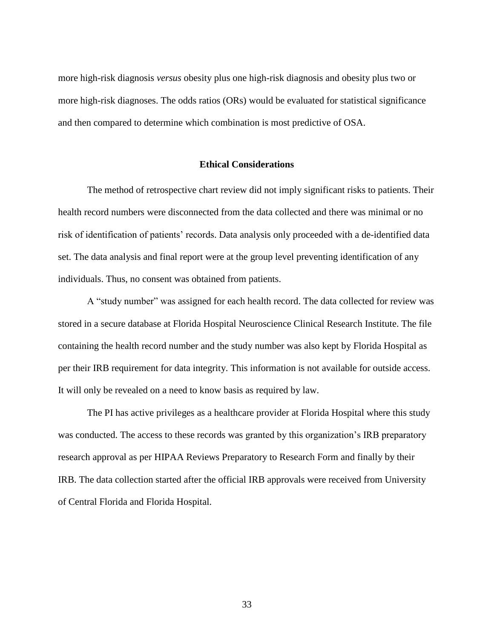more high-risk diagnosis *versus* obesity plus one high-risk diagnosis and obesity plus two or more high-risk diagnoses. The odds ratios (ORs) would be evaluated for statistical significance and then compared to determine which combination is most predictive of OSA.

#### **Ethical Considerations**

The method of retrospective chart review did not imply significant risks to patients. Their health record numbers were disconnected from the data collected and there was minimal or no risk of identification of patients' records. Data analysis only proceeded with a de-identified data set. The data analysis and final report were at the group level preventing identification of any individuals. Thus, no consent was obtained from patients.

A "study number" was assigned for each health record. The data collected for review was stored in a secure database at Florida Hospital Neuroscience Clinical Research Institute. The file containing the health record number and the study number was also kept by Florida Hospital as per their IRB requirement for data integrity. This information is not available for outside access. It will only be revealed on a need to know basis as required by law.

The PI has active privileges as a healthcare provider at Florida Hospital where this study was conducted. The access to these records was granted by this organization's IRB preparatory research approval as per HIPAA Reviews Preparatory to Research Form and finally by their IRB. The data collection started after the official IRB approvals were received from University of Central Florida and Florida Hospital.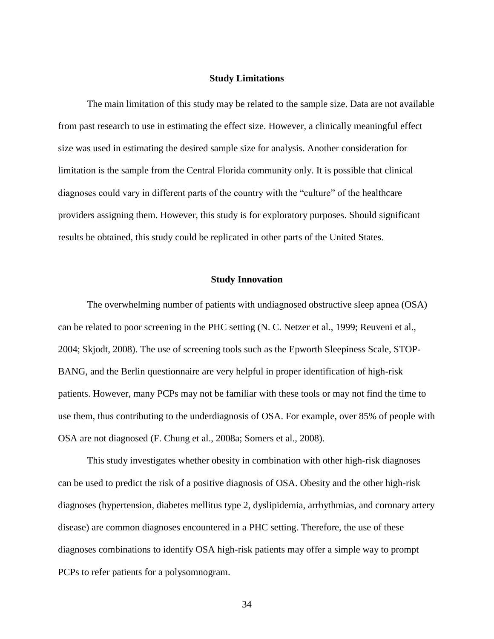## **Study Limitations**

The main limitation of this study may be related to the sample size. Data are not available from past research to use in estimating the effect size. However, a clinically meaningful effect size was used in estimating the desired sample size for analysis. Another consideration for limitation is the sample from the Central Florida community only. It is possible that clinical diagnoses could vary in different parts of the country with the "culture" of the healthcare providers assigning them. However, this study is for exploratory purposes. Should significant results be obtained, this study could be replicated in other parts of the United States.

## **Study Innovation**

The overwhelming number of patients with undiagnosed obstructive sleep apnea (OSA) can be related to poor screening in the PHC setting (N. C. Netzer et al., 1999; Reuveni et al., 2004; Skjodt, 2008). The use of screening tools such as the Epworth Sleepiness Scale, STOP-BANG, and the Berlin questionnaire are very helpful in proper identification of high-risk patients. However, many PCPs may not be familiar with these tools or may not find the time to use them, thus contributing to the underdiagnosis of OSA. For example, over 85% of people with OSA are not diagnosed (F. Chung et al., 2008a; Somers et al., 2008).

This study investigates whether obesity in combination with other high-risk diagnoses can be used to predict the risk of a positive diagnosis of OSA. Obesity and the other high-risk diagnoses (hypertension, diabetes mellitus type 2, dyslipidemia, arrhythmias, and coronary artery disease) are common diagnoses encountered in a PHC setting. Therefore, the use of these diagnoses combinations to identify OSA high-risk patients may offer a simple way to prompt PCPs to refer patients for a polysomnogram.

34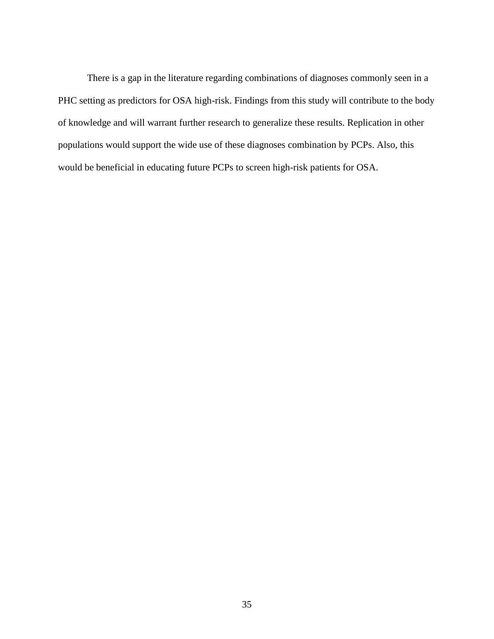There is a gap in the literature regarding combinations of diagnoses commonly seen in a PHC setting as predictors for OSA high-risk. Findings from this study will contribute to the body of knowledge and will warrant further research to generalize these results. Replication in other populations would support the wide use of these diagnoses combination by PCPs. Also, this would be beneficial in educating future PCPs to screen high-risk patients for OSA.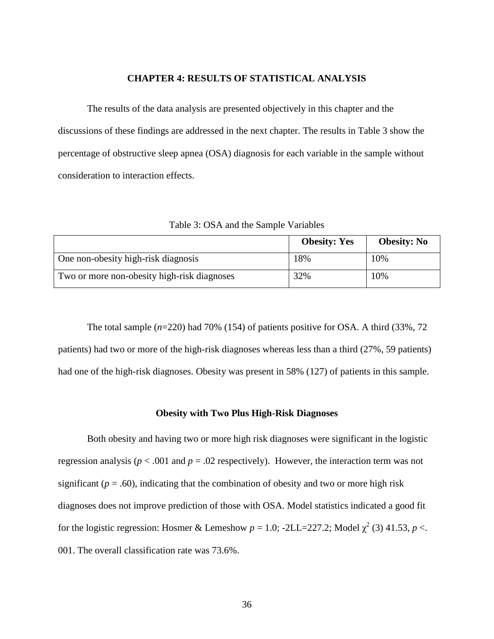#### **CHAPTER 4: RESULTS OF STATISTICAL ANALYSIS**

The results of the data analysis are presented objectively in this chapter and the discussions of these findings are addressed in the next chapter. The results in Table 3 show the percentage of obstructive sleep apnea (OSA) diagnosis for each variable in the sample without consideration to interaction effects.

|                                             | <b>Obesity: Yes</b> | <b>Obesity: No</b> |
|---------------------------------------------|---------------------|--------------------|
| One non-obesity high-risk diagnosis         | 18%                 | 10%                |
| Two or more non-obesity high-risk diagnoses | 32%                 | 10%                |

Table 3: OSA and the Sample Variables

The total sample (*n*=220) had 70% (154) of patients positive for OSA. A third (33%, 72 patients) had two or more of the high-risk diagnoses whereas less than a third (27%, 59 patients) had one of the high-risk diagnoses. Obesity was present in 58% (127) of patients in this sample.

#### **Obesity with Two Plus High-Risk Diagnoses**

Both obesity and having two or more high risk diagnoses were significant in the logistic regression analysis ( $p < .001$  and  $p = .02$  respectively). However, the interaction term was not significant ( $p = .60$ ), indicating that the combination of obesity and two or more high risk diagnoses does not improve prediction of those with OSA. Model statistics indicated a good fit for the logistic regression: Hosmer & Lemeshow  $p = 1.0$ ; -2LL=227.2; Model  $\chi^2$  (3) 41.53,  $p <$ . 001. The overall classification rate was 73.6%.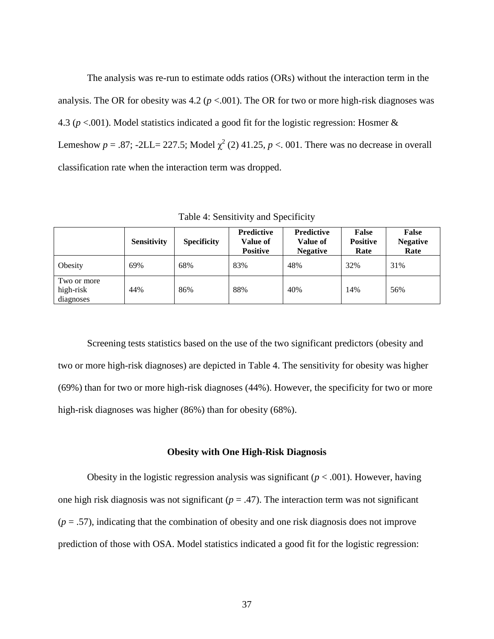The analysis was re-run to estimate odds ratios (ORs) without the interaction term in the analysis. The OR for obesity was  $4.2$  ( $p < .001$ ). The OR for two or more high-risk diagnoses was 4.3 (*p* <.001). Model statistics indicated a good fit for the logistic regression: Hosmer & Lemeshow  $p = .87$ ;  $-2LL = 227.5$ ; Model  $\chi^2$  (2) 41.25,  $p < .001$ . There was no decrease in overall classification rate when the interaction term was dropped.

Table 4: Sensitivity and Specificity

|                                       | <b>Sensitivity</b> | <b>Specificity</b> | <b>Predictive</b><br>Value of<br><b>Positive</b> | <b>Predictive</b><br>Value of<br><b>Negative</b> | <b>False</b><br><b>Positive</b><br>Rate | False<br><b>Negative</b><br>Rate |
|---------------------------------------|--------------------|--------------------|--------------------------------------------------|--------------------------------------------------|-----------------------------------------|----------------------------------|
| Obesity                               | 69%                | 68%                | 83%                                              | 48%                                              | 32%                                     | 31%                              |
| Two or more<br>high-risk<br>diagnoses | 44%                | 86%                | 88%                                              | 40%                                              | 14%                                     | 56%                              |

Screening tests statistics based on the use of the two significant predictors (obesity and two or more high-risk diagnoses) are depicted in Table 4. The sensitivity for obesity was higher (69%) than for two or more high-risk diagnoses (44%). However, the specificity for two or more high-risk diagnoses was higher (86%) than for obesity (68%).

#### **Obesity with One High-Risk Diagnosis**

Obesity in the logistic regression analysis was significant ( $p < .001$ ). However, having one high risk diagnosis was not significant  $(p = .47)$ . The interaction term was not significant  $(p = .57)$ , indicating that the combination of obesity and one risk diagnosis does not improve prediction of those with OSA. Model statistics indicated a good fit for the logistic regression: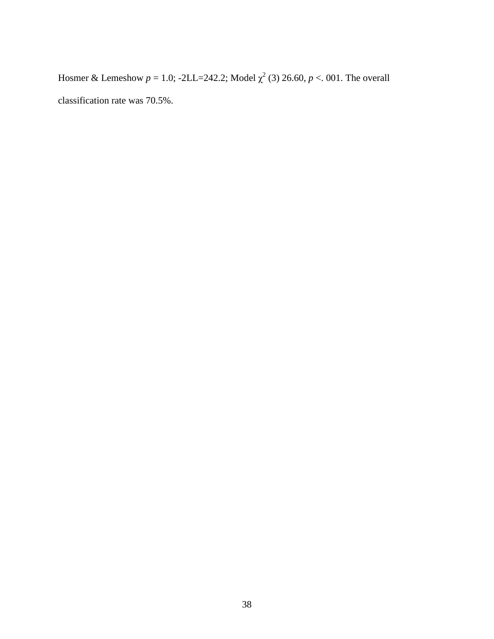Hosmer & Lemeshow  $p = 1.0$ ; -2LL=242.2; Model  $\chi^2$  (3) 26.60,  $p < 0.01$ . The overall classification rate was 70.5%.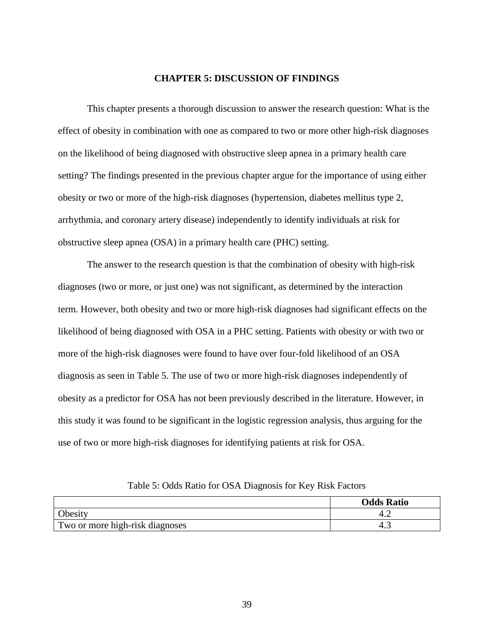#### **CHAPTER 5: DISCUSSION OF FINDINGS**

This chapter presents a thorough discussion to answer the research question: What is the effect of obesity in combination with one as compared to two or more other high-risk diagnoses on the likelihood of being diagnosed with obstructive sleep apnea in a primary health care setting? The findings presented in the previous chapter argue for the importance of using either obesity or two or more of the high-risk diagnoses (hypertension, diabetes mellitus type 2, arrhythmia, and coronary artery disease) independently to identify individuals at risk for obstructive sleep apnea (OSA) in a primary health care (PHC) setting.

The answer to the research question is that the combination of obesity with high-risk diagnoses (two or more, or just one) was not significant, as determined by the interaction term. However, both obesity and two or more high-risk diagnoses had significant effects on the likelihood of being diagnosed with OSA in a PHC setting. Patients with obesity or with two or more of the high-risk diagnoses were found to have over four-fold likelihood of an OSA diagnosis as seen in Table 5. The use of two or more high-risk diagnoses independently of obesity as a predictor for OSA has not been previously described in the literature. However, in this study it was found to be significant in the logistic regression analysis, thus arguing for the use of two or more high-risk diagnoses for identifying patients at risk for OSA.

Table 5: Odds Ratio for OSA Diagnosis for Key Risk Factors

|                                 | <b>Odds Ratio</b> |
|---------------------------------|-------------------|
| <b>Obesity</b>                  |                   |
| Two or more high-risk diagnoses | +.֊               |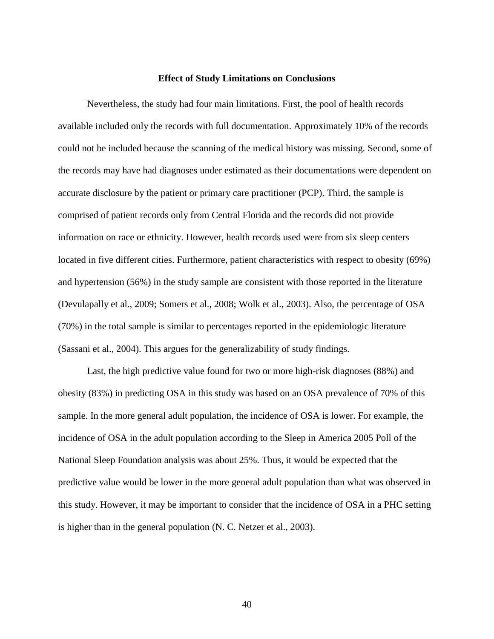### **Effect of Study Limitations on Conclusions**

Nevertheless, the study had four main limitations. First, the pool of health records available included only the records with full documentation. Approximately 10% of the records could not be included because the scanning of the medical history was missing. Second, some of the records may have had diagnoses under estimated as their documentations were dependent on accurate disclosure by the patient or primary care practitioner (PCP). Third, the sample is comprised of patient records only from Central Florida and the records did not provide information on race or ethnicity. However, health records used were from six sleep centers located in five different cities. Furthermore, patient characteristics with respect to obesity (69%) and hypertension (56%) in the study sample are consistent with those reported in the literature (Devulapally et al., 2009; Somers et al., 2008; Wolk et al., 2003). Also, the percentage of OSA (70%) in the total sample is similar to percentages reported in the epidemiologic literature (Sassani et al., 2004). This argues for the generalizability of study findings.

Last, the high predictive value found for two or more high-risk diagnoses (88%) and obesity (83%) in predicting OSA in this study was based on an OSA prevalence of 70% of this sample. In the more general adult population, the incidence of OSA is lower. For example, the incidence of OSA in the adult population according to the Sleep in America 2005 Poll of the National Sleep Foundation analysis was about 25%. Thus, it would be expected that the predictive value would be lower in the more general adult population than what was observed in this study. However, it may be important to consider that the incidence of OSA in a PHC setting is higher than in the general population (N. C. Netzer et al., 2003).

40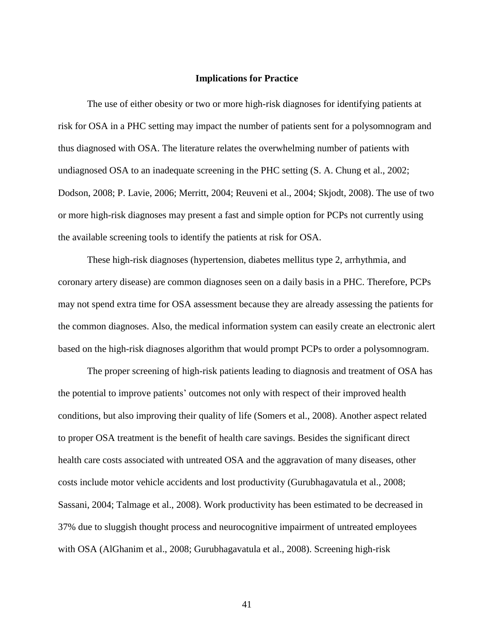#### **Implications for Practice**

The use of either obesity or two or more high-risk diagnoses for identifying patients at risk for OSA in a PHC setting may impact the number of patients sent for a polysomnogram and thus diagnosed with OSA. The literature relates the overwhelming number of patients with undiagnosed OSA to an inadequate screening in the PHC setting (S. A. Chung et al., 2002; Dodson, 2008; P. Lavie, 2006; Merritt, 2004; Reuveni et al., 2004; Skjodt, 2008). The use of two or more high-risk diagnoses may present a fast and simple option for PCPs not currently using the available screening tools to identify the patients at risk for OSA.

These high-risk diagnoses (hypertension, diabetes mellitus type 2, arrhythmia, and coronary artery disease) are common diagnoses seen on a daily basis in a PHC. Therefore, PCPs may not spend extra time for OSA assessment because they are already assessing the patients for the common diagnoses. Also, the medical information system can easily create an electronic alert based on the high-risk diagnoses algorithm that would prompt PCPs to order a polysomnogram.

The proper screening of high-risk patients leading to diagnosis and treatment of OSA has the potential to improve patients" outcomes not only with respect of their improved health conditions, but also improving their quality of life (Somers et al., 2008). Another aspect related to proper OSA treatment is the benefit of health care savings. Besides the significant direct health care costs associated with untreated OSA and the aggravation of many diseases, other costs include motor vehicle accidents and lost productivity (Gurubhagavatula et al., 2008; Sassani, 2004; Talmage et al., 2008). Work productivity has been estimated to be decreased in 37% due to sluggish thought process and neurocognitive impairment of untreated employees with OSA (AlGhanim et al., 2008; Gurubhagavatula et al., 2008). Screening high-risk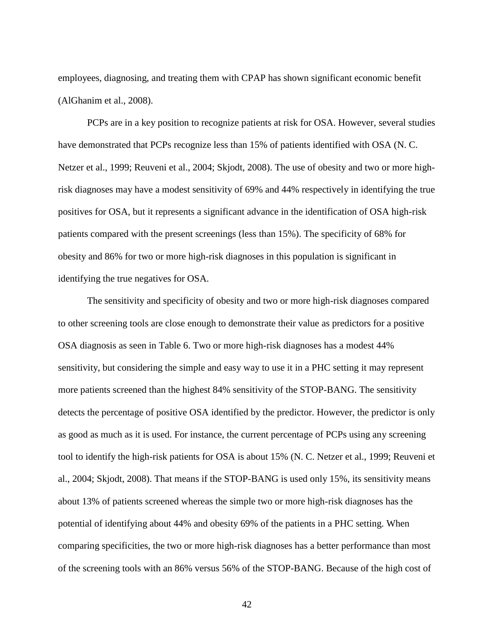employees, diagnosing, and treating them with CPAP has shown significant economic benefit (AlGhanim et al., 2008).

PCPs are in a key position to recognize patients at risk for OSA. However, several studies have demonstrated that PCPs recognize less than 15% of patients identified with OSA (N. C. Netzer et al., 1999; Reuveni et al., 2004; Skjodt, 2008). The use of obesity and two or more highrisk diagnoses may have a modest sensitivity of 69% and 44% respectively in identifying the true positives for OSA, but it represents a significant advance in the identification of OSA high-risk patients compared with the present screenings (less than 15%). The specificity of 68% for obesity and 86% for two or more high-risk diagnoses in this population is significant in identifying the true negatives for OSA.

The sensitivity and specificity of obesity and two or more high-risk diagnoses compared to other screening tools are close enough to demonstrate their value as predictors for a positive OSA diagnosis as seen in Table 6. Two or more high-risk diagnoses has a modest 44% sensitivity, but considering the simple and easy way to use it in a PHC setting it may represent more patients screened than the highest 84% sensitivity of the STOP-BANG. The sensitivity detects the percentage of positive OSA identified by the predictor. However, the predictor is only as good as much as it is used. For instance, the current percentage of PCPs using any screening tool to identify the high-risk patients for OSA is about 15% (N. C. Netzer et al., 1999; Reuveni et al., 2004; Skjodt, 2008). That means if the STOP-BANG is used only 15%, its sensitivity means about 13% of patients screened whereas the simple two or more high-risk diagnoses has the potential of identifying about 44% and obesity 69% of the patients in a PHC setting. When comparing specificities, the two or more high-risk diagnoses has a better performance than most of the screening tools with an 86% versus 56% of the STOP-BANG. Because of the high cost of

42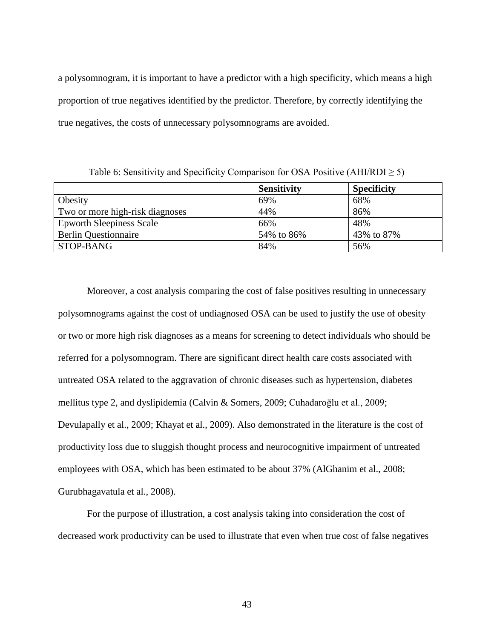a polysomnogram, it is important to have a predictor with a high specificity, which means a high proportion of true negatives identified by the predictor. Therefore, by correctly identifying the true negatives, the costs of unnecessary polysomnograms are avoided.

**Sensitivity Specificity** Obesity  $\begin{array}{|c|c|c|c|c|c|c|c|} \hline \text{69\%} & \text{68\%} \end{array}$ Two or more high-risk diagnoses  $\vert$  44% 86% Epworth Sleepiness Scale 66% and 48% Berlin Questionnaire  $\begin{array}{|l|c|c|c|c|c|} \hline \end{array}$  54% to 86%  $\begin{array}{|l|c|c|c|c|c|} \hline \end{array}$  43% to 87%  $STOP-BANG$  84%  $56\%$ 

Table 6: Sensitivity and Specificity Comparison for OSA Positive (AHI/RDI  $\geq$  5)

Moreover, a cost analysis comparing the cost of false positives resulting in unnecessary polysomnograms against the cost of undiagnosed OSA can be used to justify the use of obesity or two or more high risk diagnoses as a means for screening to detect individuals who should be referred for a polysomnogram. There are significant direct health care costs associated with untreated OSA related to the aggravation of chronic diseases such as hypertension, diabetes mellitus type 2, and dyslipidemia (Calvin & Somers, 2009; Cuhadaroğlu et al., 2009; Devulapally et al., 2009; Khayat et al., 2009). Also demonstrated in the literature is the cost of productivity loss due to sluggish thought process and neurocognitive impairment of untreated employees with OSA, which has been estimated to be about 37% (AlGhanim et al., 2008; Gurubhagavatula et al., 2008).

For the purpose of illustration, a cost analysis taking into consideration the cost of decreased work productivity can be used to illustrate that even when true cost of false negatives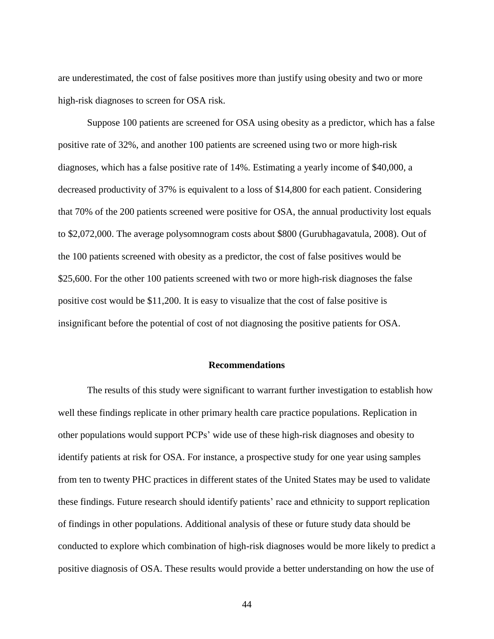are underestimated, the cost of false positives more than justify using obesity and two or more high-risk diagnoses to screen for OSA risk.

Suppose 100 patients are screened for OSA using obesity as a predictor, which has a false positive rate of 32%, and another 100 patients are screened using two or more high-risk diagnoses, which has a false positive rate of 14%. Estimating a yearly income of \$40,000, a decreased productivity of 37% is equivalent to a loss of \$14,800 for each patient. Considering that 70% of the 200 patients screened were positive for OSA, the annual productivity lost equals to \$2,072,000. The average polysomnogram costs about \$800 (Gurubhagavatula, 2008). Out of the 100 patients screened with obesity as a predictor, the cost of false positives would be \$25,600. For the other 100 patients screened with two or more high-risk diagnoses the false positive cost would be \$11,200. It is easy to visualize that the cost of false positive is insignificant before the potential of cost of not diagnosing the positive patients for OSA.

#### **Recommendations**

The results of this study were significant to warrant further investigation to establish how well these findings replicate in other primary health care practice populations. Replication in other populations would support PCPs" wide use of these high-risk diagnoses and obesity to identify patients at risk for OSA. For instance, a prospective study for one year using samples from ten to twenty PHC practices in different states of the United States may be used to validate these findings. Future research should identify patients" race and ethnicity to support replication of findings in other populations. Additional analysis of these or future study data should be conducted to explore which combination of high-risk diagnoses would be more likely to predict a positive diagnosis of OSA. These results would provide a better understanding on how the use of

44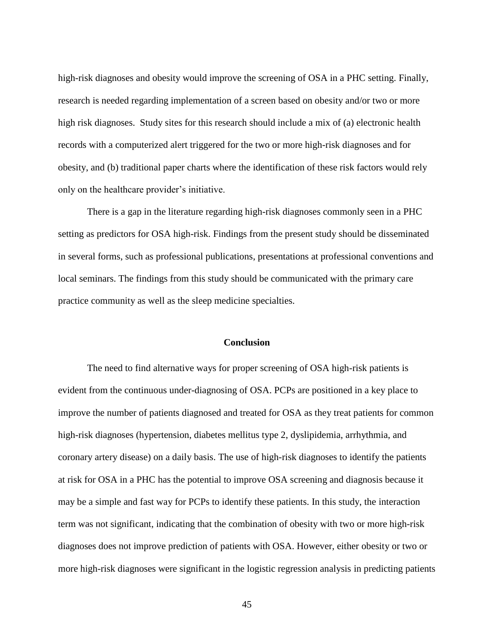high-risk diagnoses and obesity would improve the screening of OSA in a PHC setting. Finally, research is needed regarding implementation of a screen based on obesity and/or two or more high risk diagnoses. Study sites for this research should include a mix of (a) electronic health records with a computerized alert triggered for the two or more high-risk diagnoses and for obesity, and (b) traditional paper charts where the identification of these risk factors would rely only on the healthcare provider"s initiative.

There is a gap in the literature regarding high-risk diagnoses commonly seen in a PHC setting as predictors for OSA high-risk. Findings from the present study should be disseminated in several forms, such as professional publications, presentations at professional conventions and local seminars. The findings from this study should be communicated with the primary care practice community as well as the sleep medicine specialties.

## **Conclusion**

The need to find alternative ways for proper screening of OSA high-risk patients is evident from the continuous under-diagnosing of OSA. PCPs are positioned in a key place to improve the number of patients diagnosed and treated for OSA as they treat patients for common high-risk diagnoses (hypertension, diabetes mellitus type 2, dyslipidemia, arrhythmia, and coronary artery disease) on a daily basis. The use of high-risk diagnoses to identify the patients at risk for OSA in a PHC has the potential to improve OSA screening and diagnosis because it may be a simple and fast way for PCPs to identify these patients. In this study, the interaction term was not significant, indicating that the combination of obesity with two or more high-risk diagnoses does not improve prediction of patients with OSA. However, either obesity or two or more high-risk diagnoses were significant in the logistic regression analysis in predicting patients

45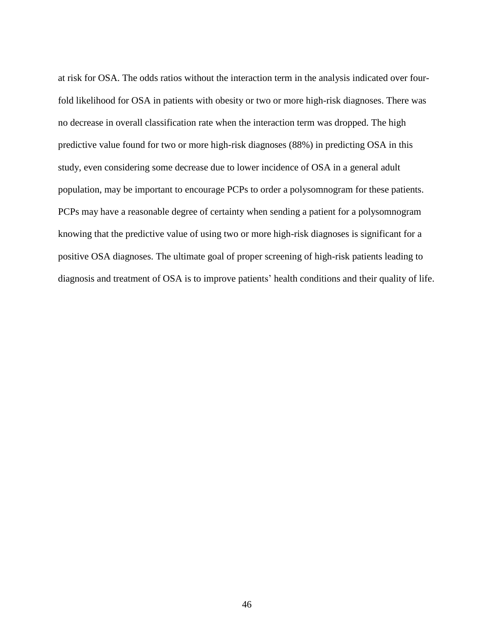at risk for OSA. The odds ratios without the interaction term in the analysis indicated over fourfold likelihood for OSA in patients with obesity or two or more high-risk diagnoses. There was no decrease in overall classification rate when the interaction term was dropped. The high predictive value found for two or more high-risk diagnoses (88%) in predicting OSA in this study, even considering some decrease due to lower incidence of OSA in a general adult population, may be important to encourage PCPs to order a polysomnogram for these patients. PCPs may have a reasonable degree of certainty when sending a patient for a polysomnogram knowing that the predictive value of using two or more high-risk diagnoses is significant for a positive OSA diagnoses. The ultimate goal of proper screening of high-risk patients leading to diagnosis and treatment of OSA is to improve patients' health conditions and their quality of life.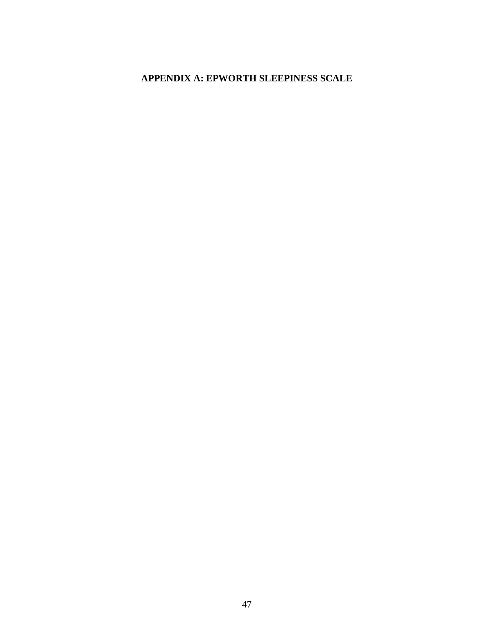# **APPENDIX A: EPWORTH SLEEPINESS SCALE**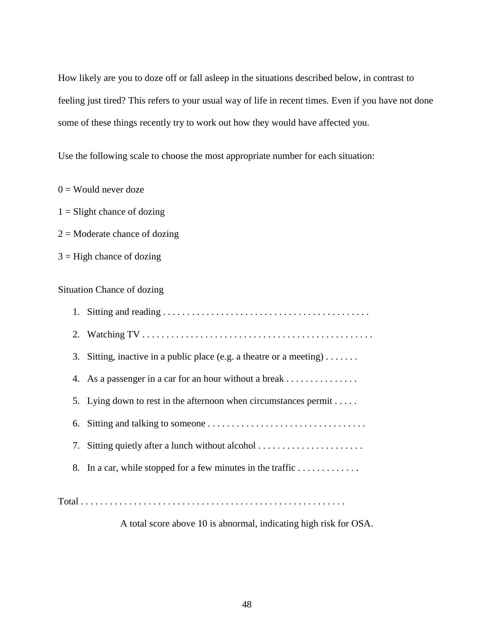How likely are you to doze off or fall asleep in the situations described below, in contrast to feeling just tired? This refers to your usual way of life in recent times. Even if you have not done some of these things recently try to work out how they would have affected you.

Use the following scale to choose the most appropriate number for each situation:

 $0 =$  Would never doze

 $1 =$ Slight chance of dozing

 $2 =$ Moderate chance of dozing

 $3 =$  High chance of dozing

Situation Chance of dozing

|    | 3. Sitting, inactive in a public place (e.g. a theatre or a meeting) |
|----|----------------------------------------------------------------------|
|    | 4. As a passenger in a car for an hour without a break               |
|    | 5. Lying down to rest in the afternoon when circumstances permit     |
| 6. |                                                                      |
|    | 7. Sitting quietly after a lunch without alcohol                     |
|    | 8. In a car, while stopped for a few minutes in the traffic          |
|    |                                                                      |

Total . . . . . . . . . . . . . . . . . . . . . . . . . . . . . . . . . . . . . . . . . . . . . . . . . . . . . . .

A total score above 10 is abnormal, indicating high risk for OSA.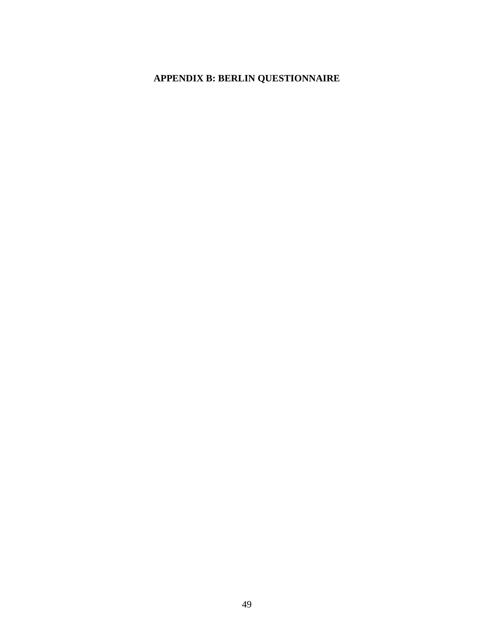# **APPENDIX B: BERLIN QUESTIONNAIRE**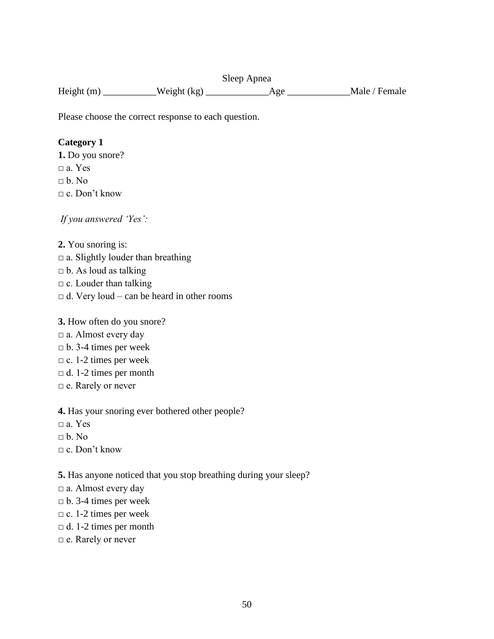Sleep Apnea Height (m) \_\_\_\_\_\_\_\_\_\_\_Weight (kg) \_\_\_\_\_\_\_\_\_\_\_\_\_Age \_\_\_\_\_\_\_\_\_\_\_\_\_Male / Female

Please choose the correct response to each question.

# **Category 1**

**1.** Do you snore?  $\Box$  a. Yes  $\neg b. No$  $\Box$  c. Don't know

*If you answered 'Yes':* 

**2.** You snoring is:  $\Box$  a. Slightly louder than breathing  $\Box$  b. As loud as talking  $\Box$  c. Louder than talking  $\Box$  d. Very loud – can be heard in other rooms

**3.** How often do you snore?

- $\Box$  a. Almost every day
- $\n **b.** 3-4 times per week$
- $\Box$  c. 1-2 times per week
- $\Box$  d. 1-2 times per month
- □ e. Rarely or never

**4.** Has your snoring ever bothered other people?

- $\Box$  a. Yes
- $\neg b$  No

 $\Box$  c. Don't know

**5.** Has anyone noticed that you stop breathing during your sleep?

- $\Box$  a. Almost every day
- $\n **b.** 3-4 times per week$
- $\Box$  c. 1-2 times per week
- $\Box$  d. 1-2 times per month
- □ e. Rarely or never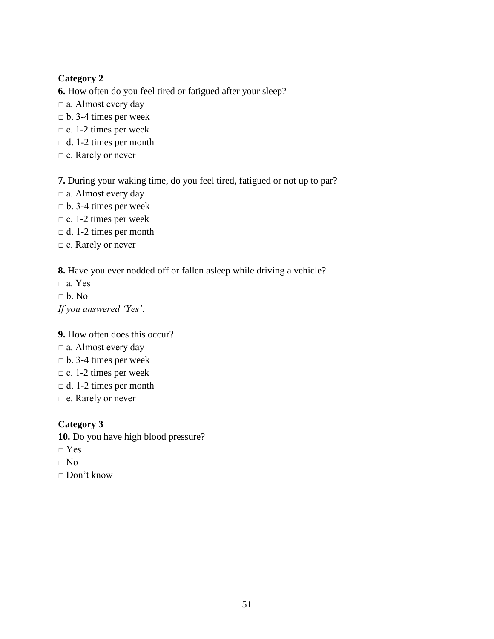# **Category 2**

**6.** How often do you feel tired or fatigued after your sleep?  $\Box$  a. Almost every day  $\n **b.** 3-4 times per week$  $\Box$  c. 1-2 times per week  $\Box$  d. 1-2 times per month □ e. Rarely or never

**7.** During your waking time, do you feel tired, fatigued or not up to par? □ a. Almost every day  $\n **b.** 3-4 times per week$  $\Box$  c. 1-2 times per week  $\Box$  d. 1-2 times per month □ e. Rarely or never

**8.** Have you ever nodded off or fallen asleep while driving a vehicle?

 $a. Yes$  $\neg b. No$ *If you answered 'Yes':*

**9.** How often does this occur?  $\Box$  a. Almost every day  $\n **b.** 3-4 times per week$  $\Box$  c. 1-2 times per week  $\Box$  d. 1-2 times per month □ e. Rarely or never

**Category 3 10.** Do you have high blood pressure?  $\neg$  Yes  $\Box$  No

□ Don't know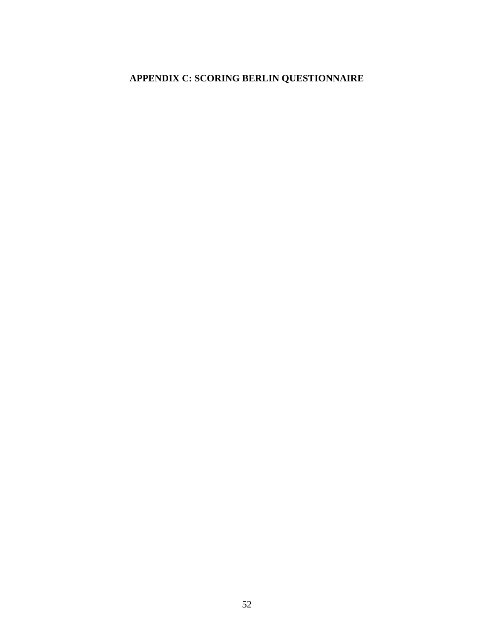# **APPENDIX C: SCORING BERLIN QUESTIONNAIRE**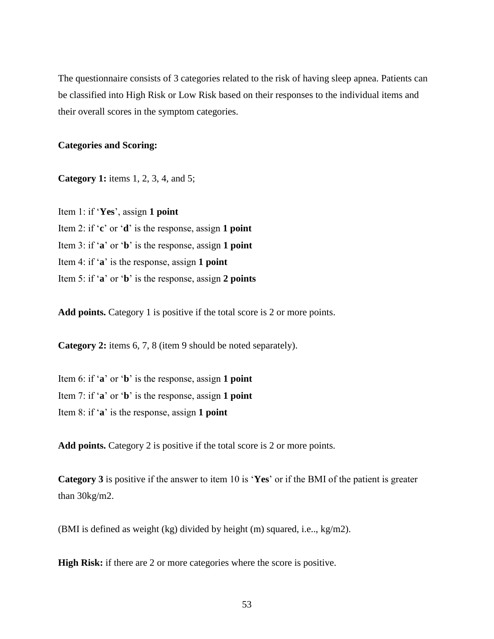The questionnaire consists of 3 categories related to the risk of having sleep apnea. Patients can be classified into High Risk or Low Risk based on their responses to the individual items and their overall scores in the symptom categories.

## **Categories and Scoring:**

**Category 1:** items 1, 2, 3, 4, and 5;

Item 1: if "**Yes**", assign **1 point** Item 2: if "**c**" or "**d**" is the response, assign **1 point** Item 3: if "**a**" or "**b**" is the response, assign **1 point** Item 4: if "**a**" is the response, assign **1 point** Item 5: if "**a**" or "**b**" is the response, assign **2 points**

**Add points.** Category 1 is positive if the total score is 2 or more points.

**Category 2:** items 6, 7, 8 (item 9 should be noted separately).

Item 6: if "**a**" or "**b**" is the response, assign **1 point** Item 7: if "**a**" or "**b**" is the response, assign **1 point** Item 8: if "**a**" is the response, assign **1 point**

**Add points.** Category 2 is positive if the total score is 2 or more points.

**Category 3** is positive if the answer to item 10 is "**Yes**" or if the BMI of the patient is greater than 30kg/m2.

(BMI is defined as weight (kg) divided by height (m) squared, i.e.., kg/m2).

**High Risk:** if there are 2 or more categories where the score is positive.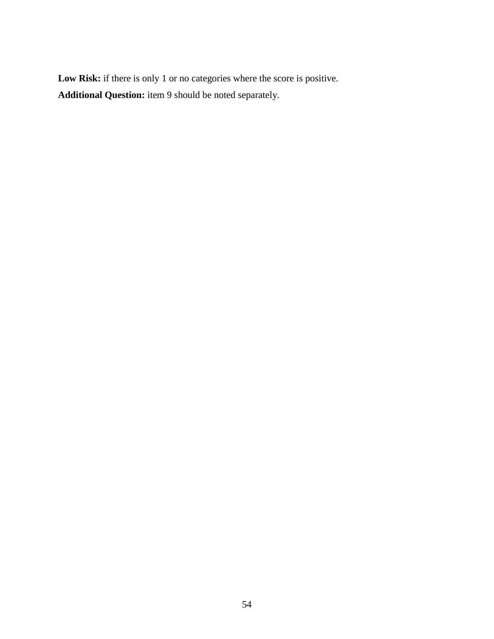Low Risk: if there is only 1 or no categories where the score is positive. **Additional Question:** item 9 should be noted separately.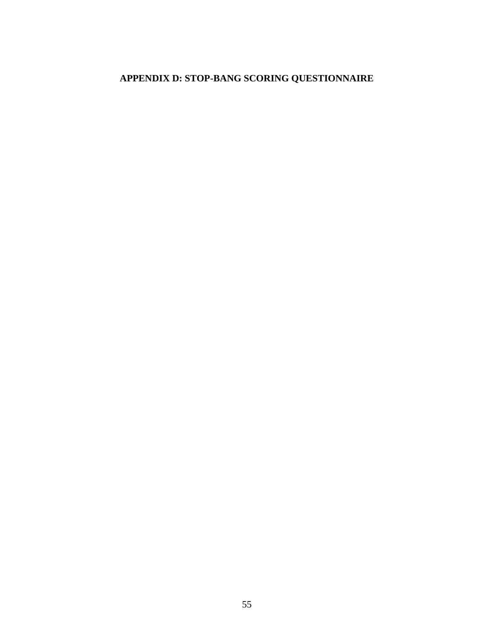# **APPENDIX D: STOP-BANG SCORING QUESTIONNAIRE**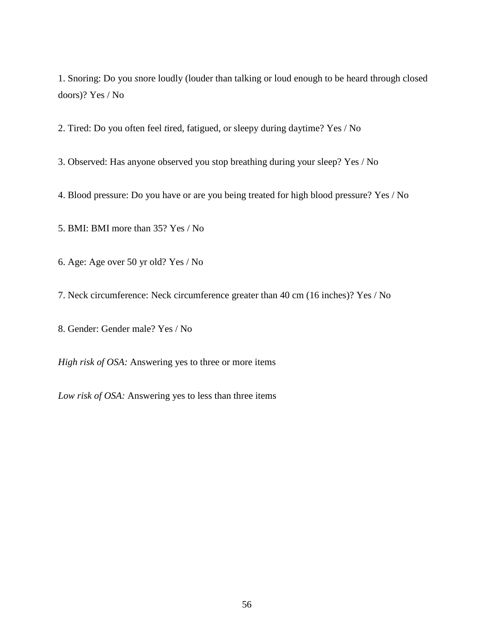1. Snoring: Do you *s*nore loudly (louder than talking or loud enough to be heard through closed doors)? Yes / No

2. Tired: Do you often feel *t*ired, fatigued, or sleepy during daytime? Yes / No

3. Observed: Has anyone observed you stop breathing during your sleep? Yes / No

4. Blood pressure: Do you have or are you being treated for high blood pressure? Yes / No

5. BMI: BMI more than 35? Yes / No

6. Age: Age over 50 yr old? Yes / No

7. Neck circumference: Neck circumference greater than 40 cm (16 inches)? Yes / No

8. Gender: Gender male? Yes / No

*High risk of OSA:* Answering yes to three or more items

*Low risk of OSA:* Answering yes to less than three items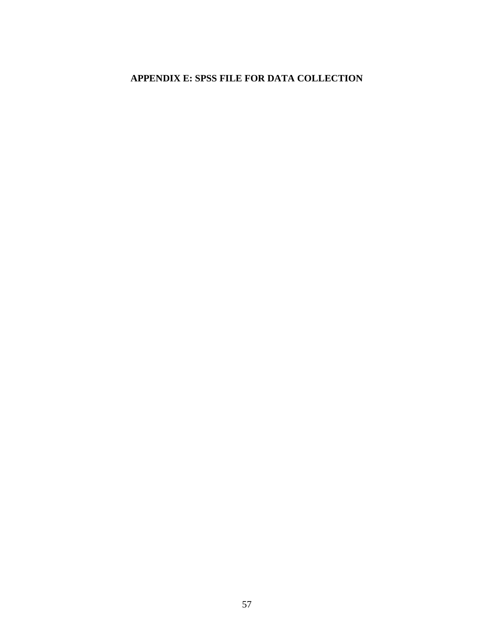# **APPENDIX E: SPSS FILE FOR DATA COLLECTION**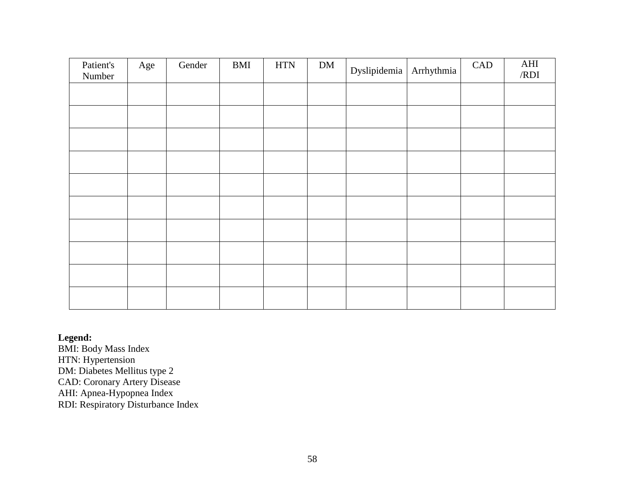| Patient's<br>Number | Age | Gender | <b>BMI</b> | <b>HTN</b> | ${\rm DM}$ | Dyslipidemia | Arrhythmia | CAD | AHI<br>/RDI |
|---------------------|-----|--------|------------|------------|------------|--------------|------------|-----|-------------|
|                     |     |        |            |            |            |              |            |     |             |
|                     |     |        |            |            |            |              |            |     |             |
|                     |     |        |            |            |            |              |            |     |             |
|                     |     |        |            |            |            |              |            |     |             |
|                     |     |        |            |            |            |              |            |     |             |
|                     |     |        |            |            |            |              |            |     |             |
|                     |     |        |            |            |            |              |            |     |             |
|                     |     |        |            |            |            |              |            |     |             |
|                     |     |        |            |            |            |              |            |     |             |
|                     |     |        |            |            |            |              |            |     |             |

**Legend:**

BMI: Body Mass Index HTN: Hypertension

DM: Diabetes Mellitus type 2 CAD: Coronary Artery Disease

AHI: Apnea-Hypopnea Index

RDI: Respiratory Disturbance Index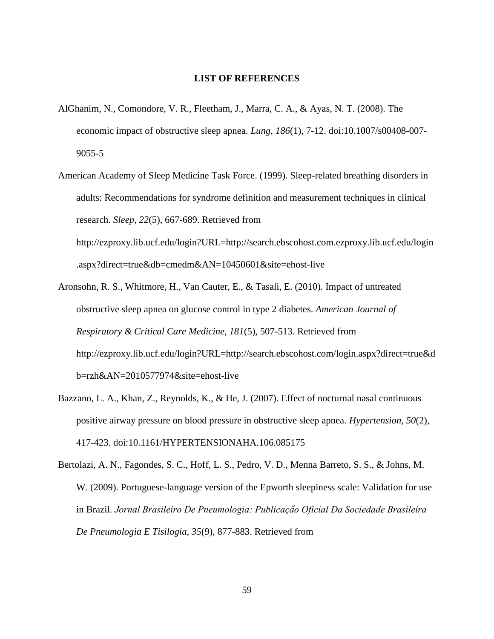#### **LIST OF REFERENCES**

- AlGhanim, N., Comondore, V. R., Fleetham, J., Marra, C. A., & Ayas, N. T. (2008). The economic impact of obstructive sleep apnea. *Lung, 186*(1), 7-12. doi:10.1007/s00408-007- 9055-5
- American Academy of Sleep Medicine Task Force. (1999). Sleep-related breathing disorders in adults: Recommendations for syndrome definition and measurement techniques in clinical research. *Sleep, 22*(5), 667-689. Retrieved from http://ezproxy.lib.ucf.edu/login?URL=http://search.ebscohost.com.ezproxy.lib.ucf.edu/login .aspx?direct=true&db=cmedm&AN=10450601&site=ehost-live
- Aronsohn, R. S., Whitmore, H., Van Cauter, E., & Tasali, E. (2010). Impact of untreated obstructive sleep apnea on glucose control in type 2 diabetes. *American Journal of Respiratory & Critical Care Medicine, 181*(5), 507-513. Retrieved from http://ezproxy.lib.ucf.edu/login?URL=http://search.ebscohost.com/login.aspx?direct=true&d b=rzh&AN=2010577974&site=ehost-live
- Bazzano, L. A., Khan, Z., Reynolds, K., & He, J. (2007). Effect of nocturnal nasal continuous positive airway pressure on blood pressure in obstructive sleep apnea. *Hypertension, 50*(2), 417-423. doi:10.1161/HYPERTENSIONAHA.106.085175
- Bertolazi, A. N., Fagondes, S. C., Hoff, L. S., Pedro, V. D., Menna Barreto, S. S., & Johns, M. W. (2009). Portuguese-language version of the Epworth sleepiness scale: Validation for use in Brazil. Jornal Brasileiro De Pneumologia: Publicação Oficial Da Sociedade Brasileira *De Pneumologia E Tisilogia, 35*(9), 877-883. Retrieved from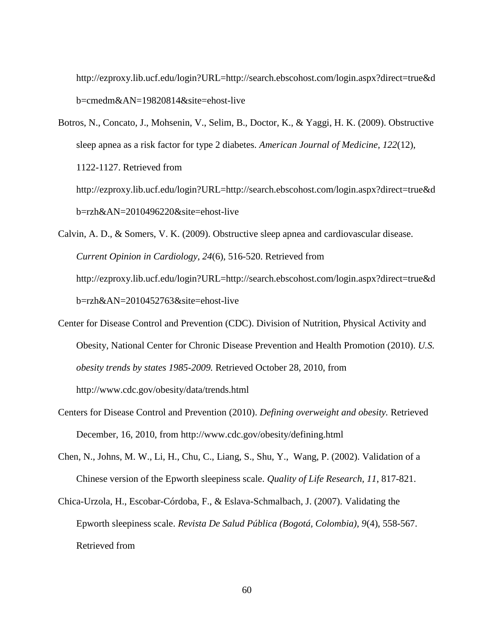http://ezproxy.lib.ucf.edu/login?URL=http://search.ebscohost.com/login.aspx?direct=true&d b=cmedm&AN=19820814&site=ehost-live

- Botros, N., Concato, J., Mohsenin, V., Selim, B., Doctor, K., & Yaggi, H. K. (2009). Obstructive sleep apnea as a risk factor for type 2 diabetes. *American Journal of Medicine, 122*(12), 1122-1127. Retrieved from http://ezproxy.lib.ucf.edu/login?URL=http://search.ebscohost.com/login.aspx?direct=true&d b=rzh&AN=2010496220&site=ehost-live
- Calvin, A. D., & Somers, V. K. (2009). Obstructive sleep apnea and cardiovascular disease. *Current Opinion in Cardiology, 24*(6), 516-520. Retrieved from http://ezproxy.lib.ucf.edu/login?URL=http://search.ebscohost.com/login.aspx?direct=true&d b=rzh&AN=2010452763&site=ehost-live
- Center for Disease Control and Prevention (CDC). Division of Nutrition, Physical Activity and Obesity, National Center for Chronic Disease Prevention and Health Promotion (2010). *U.S. obesity trends by states 1985-2009.* Retrieved October 28, 2010, from http://www.cdc.gov/obesity/data/trends.html
- Centers for Disease Control and Prevention (2010). *Defining overweight and obesity.* Retrieved December, 16, 2010, from http://www.cdc.gov/obesity/defining.html
- Chen, N., Johns, M. W., Li, H., Chu, C., Liang, S., Shu, Y., Wang, P. (2002). Validation of a Chinese version of the Epworth sleepiness scale. *Quality of Life Research, 11*, 817-821.
- Chica-Urzola, H., Escobar-Córdoba, F., & Eslava-Schmalbach, J. (2007). Validating the Epworth sleepiness scale. *Revista De Salud Pública (Bogotá, Colombia), 9*(4), 558-567. Retrieved from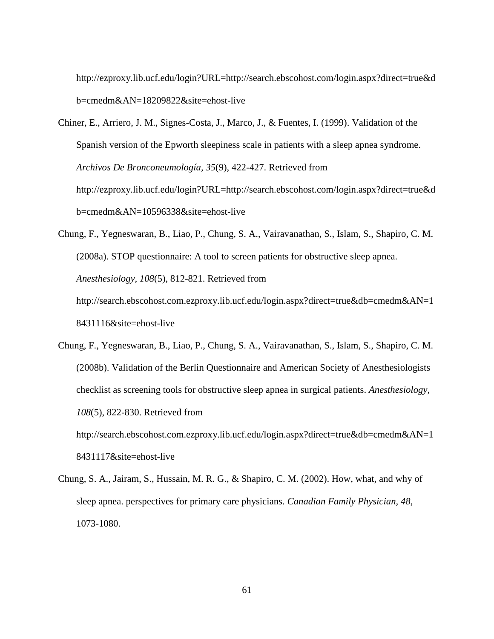[http://ezproxy.lib.ucf.edu/login?URL=http://search.ebscohost.com/login.aspx?direct=true&d](http://ezproxy.lib.ucf.edu/login?URL=http://search.ebscohost.com/login.aspx?direct=true&db=cmedm&AN=18209822&site=ehost-live) [b=cmedm&AN=18209822&site=ehost-live](http://ezproxy.lib.ucf.edu/login?URL=http://search.ebscohost.com/login.aspx?direct=true&db=cmedm&AN=18209822&site=ehost-live)

- Chiner, E., Arriero, J. M., Signes-Costa, J., Marco, J., & Fuentes, I. (1999). Validation of the Spanish version of the Epworth sleepiness scale in patients with a sleep apnea syndrome. *Archivos De Bronconeumología, 35*(9), 422-427. Retrieved from [http://ezproxy.lib.ucf.edu/login?URL=http://search.ebscohost.com/login.aspx?direct=true&d](http://ezproxy.lib.ucf.edu/login?URL=http://search.ebscohost.com/login.aspx?direct=true&db=cmedm&AN=10596338&site=ehost-live) [b=cmedm&AN=10596338&site=ehost-live](http://ezproxy.lib.ucf.edu/login?URL=http://search.ebscohost.com/login.aspx?direct=true&db=cmedm&AN=10596338&site=ehost-live)
- Chung, F., Yegneswaran, B., Liao, P., Chung, S. A., Vairavanathan, S., Islam, S., Shapiro, C. M. (2008a). STOP questionnaire: A tool to screen patients for obstructive sleep apnea. *Anesthesiology, 108*(5), 812-821. Retrieved from [http://search.ebscohost.com.ezproxy.lib.ucf.edu/login.aspx?direct=true&db=cmedm&AN=1](http://search.ebscohost.com.ezproxy.lib.ucf.edu/login.aspx?direct=true&db=cmedm&AN=18431116&site=ehost-live) [8431116&site=ehost-live](http://search.ebscohost.com.ezproxy.lib.ucf.edu/login.aspx?direct=true&db=cmedm&AN=18431116&site=ehost-live)
- Chung, F., Yegneswaran, B., Liao, P., Chung, S. A., Vairavanathan, S., Islam, S., Shapiro, C. M. (2008b). Validation of the Berlin Questionnaire and American Society of Anesthesiologists checklist as screening tools for obstructive sleep apnea in surgical patients. *Anesthesiology, 108*(5), 822-830. Retrieved from [http://search.ebscohost.com.ezproxy.lib.ucf.edu/login.aspx?direct=true&db=cmedm&AN=1](http://search.ebscohost.com.ezproxy.lib.ucf.edu/login.aspx?direct=true&db=cmedm&AN=18431117&site=ehost-live)

[8431117&site=ehost-live](http://search.ebscohost.com.ezproxy.lib.ucf.edu/login.aspx?direct=true&db=cmedm&AN=18431117&site=ehost-live)

Chung, S. A., Jairam, S., Hussain, M. R. G., & Shapiro, C. M. (2002). How, what, and why of sleep apnea. perspectives for primary care physicians. *Canadian Family Physician, 48*, 1073-1080.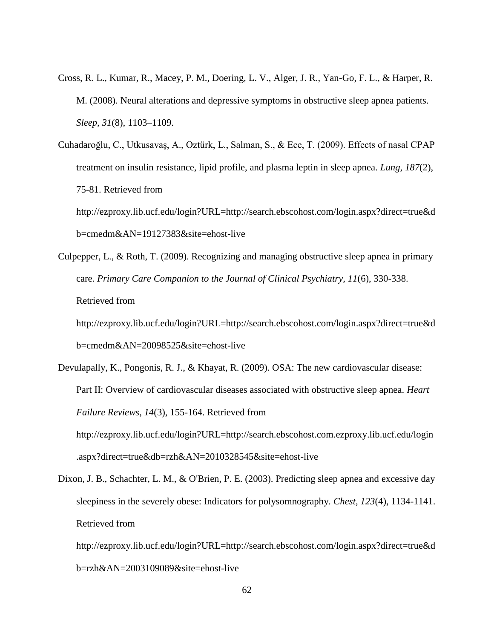- Cross, R. L., Kumar, R., Macey, P. M., Doering, L. V., Alger, J. R., Yan-Go, F. L., & Harper, R. M. (2008). Neural alterations and depressive symptoms in obstructive sleep apnea patients. *Sleep, 31*(8), 1103–1109.
- Cuhadaroğlu, C., Utkusavaş, A., Oztürk, L., Salman, S., & Ece, T. (2009). Effects of nasal CPAP treatment on insulin resistance, lipid profile, and plasma leptin in sleep apnea. *Lung, 187*(2), 75-81. Retrieved from

[http://ezproxy.lib.ucf.edu/login?URL=http://search.ebscohost.com/login.aspx?direct=true&d](http://ezproxy.lib.ucf.edu/login?URL=http://search.ebscohost.com/login.aspx?direct=true&db=cmedm&AN=19127383&site=ehost-live) [b=cmedm&AN=19127383&site=ehost-live](http://ezproxy.lib.ucf.edu/login?URL=http://search.ebscohost.com/login.aspx?direct=true&db=cmedm&AN=19127383&site=ehost-live)

Culpepper, L., & Roth, T. (2009). Recognizing and managing obstructive sleep apnea in primary care. *Primary Care Companion to the Journal of Clinical Psychiatry, 11*(6), 330-338. Retrieved from

[http://ezproxy.lib.ucf.edu/login?URL=http://search.ebscohost.com/login.aspx?direct=true&d](http://ezproxy.lib.ucf.edu/login?URL=http://search.ebscohost.com/login.aspx?direct=true&db=cmedm&AN=20098525&site=ehost-live) [b=cmedm&AN=20098525&site=ehost-live](http://ezproxy.lib.ucf.edu/login?URL=http://search.ebscohost.com/login.aspx?direct=true&db=cmedm&AN=20098525&site=ehost-live)

- Devulapally, K., Pongonis, R. J., & Khayat, R. (2009). OSA: The new cardiovascular disease: Part II: Overview of cardiovascular diseases associated with obstructive sleep apnea. *Heart Failure Reviews, 14*(3), 155-164. Retrieved from [http://ezproxy.lib.ucf.edu/login?URL=http://search.ebscohost.com.ezproxy.lib.ucf.edu/login](http://ezproxy.lib.ucf.edu/login?URL=http://search.ebscohost.com.ezproxy.lib.ucf.edu/login.aspx?direct=true&db=rzh&AN=2010328545&site=ehost-live) [.aspx?direct=true&db=rzh&AN=2010328545&site=ehost-live](http://ezproxy.lib.ucf.edu/login?URL=http://search.ebscohost.com.ezproxy.lib.ucf.edu/login.aspx?direct=true&db=rzh&AN=2010328545&site=ehost-live)
- Dixon, J. B., Schachter, L. M., & O'Brien, P. E. (2003). Predicting sleep apnea and excessive day sleepiness in the severely obese: Indicators for polysomnography. *Chest, 123*(4), 1134-1141. Retrieved from

[http://ezproxy.lib.ucf.edu/login?URL=http://search.ebscohost.com/login.aspx?direct=true&d](http://ezproxy.lib.ucf.edu/login?URL=http://search.ebscohost.com/login.aspx?direct=true&db=rzh&AN=2003109089&site=ehost-live) [b=rzh&AN=2003109089&site=ehost-live](http://ezproxy.lib.ucf.edu/login?URL=http://search.ebscohost.com/login.aspx?direct=true&db=rzh&AN=2003109089&site=ehost-live)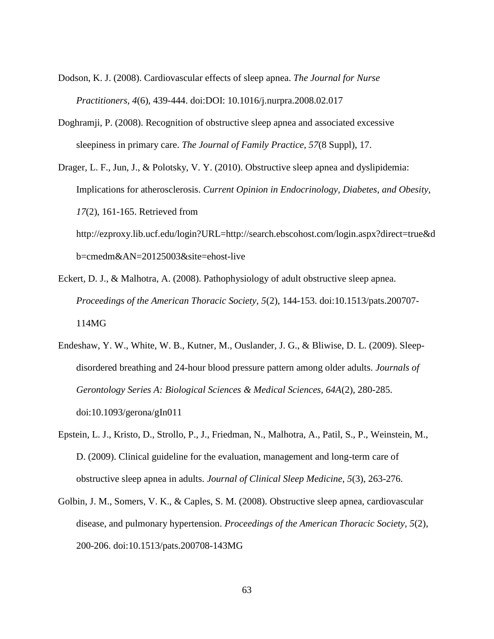- Dodson, K. J. (2008). Cardiovascular effects of sleep apnea. *The Journal for Nurse Practitioners, 4*(6), 439-444. doi:DOI: 10.1016/j.nurpra.2008.02.017
- Doghramji, P. (2008). Recognition of obstructive sleep apnea and associated excessive sleepiness in primary care. *The Journal of Family Practice, 57*(8 Suppl), 17.
- Drager, L. F., Jun, J., & Polotsky, V. Y. (2010). Obstructive sleep apnea and dyslipidemia: Implications for atherosclerosis. *Current Opinion in Endocrinology, Diabetes, and Obesity, 17*(2), 161-165. Retrieved from [http://ezproxy.lib.ucf.edu/login?URL=http://search.ebscohost.com/login.aspx?direct=true&d](http://ezproxy.lib.ucf.edu/login?URL=http://search.ebscohost.com/login.aspx?direct=true&db=cmedm&AN=20125003&site=ehost-live) [b=cmedm&AN=20125003&site=ehost-live](http://ezproxy.lib.ucf.edu/login?URL=http://search.ebscohost.com/login.aspx?direct=true&db=cmedm&AN=20125003&site=ehost-live)
- Eckert, D. J., & Malhotra, A. (2008). Pathophysiology of adult obstructive sleep apnea. *Proceedings of the American Thoracic Society, 5*(2), 144-153. doi:10.1513/pats.200707- 114MG
- Endeshaw, Y. W., White, W. B., Kutner, M., Ouslander, J. G., & Bliwise, D. L. (2009). Sleepdisordered breathing and 24-hour blood pressure pattern among older adults. *Journals of Gerontology Series A: Biological Sciences & Medical Sciences, 64A*(2), 280-285. doi:10.1093/gerona/gIn011
- Epstein, L. J., Kristo, D., Strollo, P., J., Friedman, N., Malhotra, A., Patil, S., P., Weinstein, M., D. (2009). Clinical guideline for the evaluation, management and long-term care of obstructive sleep apnea in adults. *Journal of Clinical Sleep Medicine, 5*(3), 263-276.
- Golbin, J. M., Somers, V. K., & Caples, S. M. (2008). Obstructive sleep apnea, cardiovascular disease, and pulmonary hypertension. *Proceedings of the American Thoracic Society, 5*(2), 200-206. doi:10.1513/pats.200708-143MG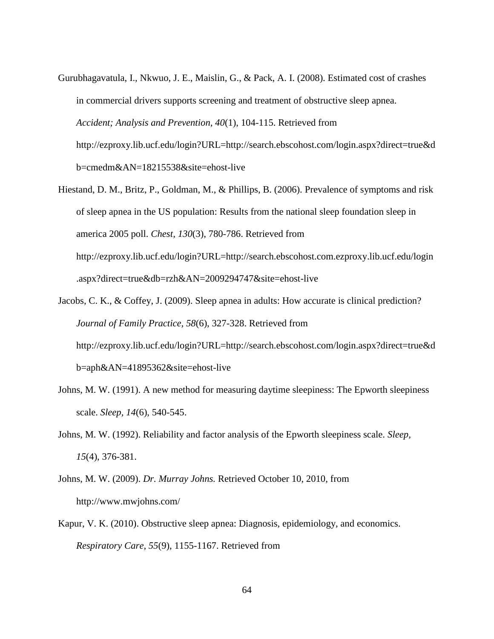- Gurubhagavatula, I., Nkwuo, J. E., Maislin, G., & Pack, A. I. (2008). Estimated cost of crashes in commercial drivers supports screening and treatment of obstructive sleep apnea. *Accident; Analysis and Prevention, 40*(1), 104-115. Retrieved from [http://ezproxy.lib.ucf.edu/login?URL=http://search.ebscohost.com/login.aspx?direct=true&d](http://ezproxy.lib.ucf.edu/login?URL=http://search.ebscohost.com/login.aspx?direct=true&db=cmedm&AN=18215538&site=ehost-live) [b=cmedm&AN=18215538&site=ehost-live](http://ezproxy.lib.ucf.edu/login?URL=http://search.ebscohost.com/login.aspx?direct=true&db=cmedm&AN=18215538&site=ehost-live)
- Hiestand, D. M., Britz, P., Goldman, M., & Phillips, B. (2006). Prevalence of symptoms and risk of sleep apnea in the US population: Results from the national sleep foundation sleep in america 2005 poll. *Chest, 130*(3), 780-786. Retrieved from [http://ezproxy.lib.ucf.edu/login?URL=http://search.ebscohost.com.ezproxy.lib.ucf.edu/login](http://ezproxy.lib.ucf.edu/login?URL=http://search.ebscohost.com.ezproxy.lib.ucf.edu/login.aspx?direct=true&db=rzh&AN=2009294747&site=ehost-live) [.aspx?direct=true&db=rzh&AN=2009294747&site=ehost-live](http://ezproxy.lib.ucf.edu/login?URL=http://search.ebscohost.com.ezproxy.lib.ucf.edu/login.aspx?direct=true&db=rzh&AN=2009294747&site=ehost-live)
- Jacobs, C. K., & Coffey, J. (2009). Sleep apnea in adults: How accurate is clinical prediction? *Journal of Family Practice, 58*(6), 327-328. Retrieved from [http://ezproxy.lib.ucf.edu/login?URL=http://search.ebscohost.com/login.aspx?direct=true&d](http://ezproxy.lib.ucf.edu/login?URL=http://search.ebscohost.com/login.aspx?direct=true&db=aph&AN=41895362&site=ehost-live) [b=aph&AN=41895362&site=ehost-live](http://ezproxy.lib.ucf.edu/login?URL=http://search.ebscohost.com/login.aspx?direct=true&db=aph&AN=41895362&site=ehost-live)
- Johns, M. W. (1991). A new method for measuring daytime sleepiness: The Epworth sleepiness scale. *Sleep, 14*(6), 540-545.
- Johns, M. W. (1992). Reliability and factor analysis of the Epworth sleepiness scale. *Sleep, 15*(4), 376-381.
- Johns, M. W. (2009). *Dr. Murray Johns.* Retrieved October 10, 2010, from <http://www.mwjohns.com/>
- Kapur, V. K. (2010). Obstructive sleep apnea: Diagnosis, epidemiology, and economics. *Respiratory Care, 55*(9), 1155-1167. Retrieved from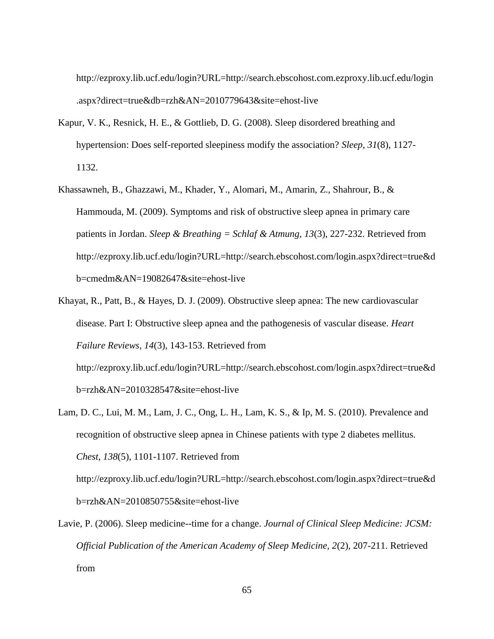[http://ezproxy.lib.ucf.edu/login?URL=http://search.ebscohost.com.ezproxy.lib.ucf.edu/login](http://ezproxy.lib.ucf.edu/login?URL=http://search.ebscohost.com.ezproxy.lib.ucf.edu/login.aspx?direct=true&db=rzh&AN=2010779643&site=ehost-live) [.aspx?direct=true&db=rzh&AN=2010779643&site=ehost-live](http://ezproxy.lib.ucf.edu/login?URL=http://search.ebscohost.com.ezproxy.lib.ucf.edu/login.aspx?direct=true&db=rzh&AN=2010779643&site=ehost-live)

- Kapur, V. K., Resnick, H. E., & Gottlieb, D. G. (2008). Sleep disordered breathing and hypertension: Does self-reported sleepiness modify the association? *Sleep, 31*(8), 1127- 1132.
- Khassawneh, B., Ghazzawi, M., Khader, Y., Alomari, M., Amarin, Z., Shahrour, B., & Hammouda, M. (2009). Symptoms and risk of obstructive sleep apnea in primary care patients in Jordan. *Sleep & Breathing = Schlaf & Atmung, 13*(3), 227-232. Retrieved from [http://ezproxy.lib.ucf.edu/login?URL=http://search.ebscohost.com/login.aspx?direct=true&d](http://ezproxy.lib.ucf.edu/login?URL=http://search.ebscohost.com/login.aspx?direct=true&db=cmedm&AN=19082647&site=ehost-live) [b=cmedm&AN=19082647&site=ehost-live](http://ezproxy.lib.ucf.edu/login?URL=http://search.ebscohost.com/login.aspx?direct=true&db=cmedm&AN=19082647&site=ehost-live)
- Khayat, R., Patt, B., & Hayes, D. J. (2009). Obstructive sleep apnea: The new cardiovascular disease. Part I: Obstructive sleep apnea and the pathogenesis of vascular disease. *Heart Failure Reviews, 14*(3), 143-153. Retrieved from [http://ezproxy.lib.ucf.edu/login?URL=http://search.ebscohost.com/login.aspx?direct=true&d](http://ezproxy.lib.ucf.edu/login?URL=http://search.ebscohost.com/login.aspx?direct=true&db=rzh&AN=2010328547&site=ehost-live)

[b=rzh&AN=2010328547&site=ehost-live](http://ezproxy.lib.ucf.edu/login?URL=http://search.ebscohost.com/login.aspx?direct=true&db=rzh&AN=2010328547&site=ehost-live)

Lam, D. C., Lui, M. M., Lam, J. C., Ong, L. H., Lam, K. S., & Ip, M. S. (2010). Prevalence and recognition of obstructive sleep apnea in Chinese patients with type 2 diabetes mellitus. *Chest, 138*(5), 1101-1107. Retrieved from

[http://ezproxy.lib.ucf.edu/login?URL=http://search.ebscohost.com/login.aspx?direct=true&d](http://ezproxy.lib.ucf.edu/login?URL=http://search.ebscohost.com/login.aspx?direct=true&db=rzh&AN=2010850755&site=ehost-live) [b=rzh&AN=2010850755&site=ehost-live](http://ezproxy.lib.ucf.edu/login?URL=http://search.ebscohost.com/login.aspx?direct=true&db=rzh&AN=2010850755&site=ehost-live)

Lavie, P. (2006). Sleep medicine--time for a change. *Journal of Clinical Sleep Medicine: JCSM: Official Publication of the American Academy of Sleep Medicine, 2*(2), 207-211. Retrieved from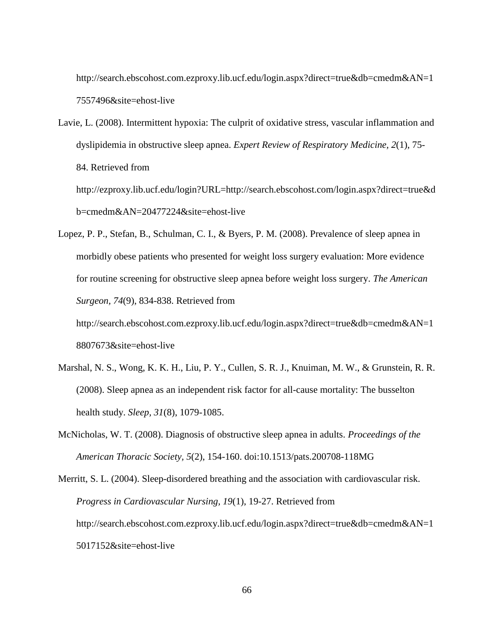[http://search.ebscohost.com.ezproxy.lib.ucf.edu/login.aspx?direct=true&db=cmedm&AN=1](http://search.ebscohost.com.ezproxy.lib.ucf.edu/login.aspx?direct=true&db=cmedm&AN=17557496&site=ehost-live) [7557496&site=ehost-live](http://search.ebscohost.com.ezproxy.lib.ucf.edu/login.aspx?direct=true&db=cmedm&AN=17557496&site=ehost-live)

Lavie, L. (2008). Intermittent hypoxia: The culprit of oxidative stress, vascular inflammation and dyslipidemia in obstructive sleep apnea. *Expert Review of Respiratory Medicine, 2*(1), 75- 84. Retrieved from [http://ezproxy.lib.ucf.edu/login?URL=http://search.ebscohost.com/login.aspx?direct=true&d](http://ezproxy.lib.ucf.edu/login?URL=http://search.ebscohost.com/login.aspx?direct=true&db=cmedm&AN=20477224&site=ehost-live)

[b=cmedm&AN=20477224&site=ehost-live](http://ezproxy.lib.ucf.edu/login?URL=http://search.ebscohost.com/login.aspx?direct=true&db=cmedm&AN=20477224&site=ehost-live)

Lopez, P. P., Stefan, B., Schulman, C. I., & Byers, P. M. (2008). Prevalence of sleep apnea in morbidly obese patients who presented for weight loss surgery evaluation: More evidence for routine screening for obstructive sleep apnea before weight loss surgery. *The American Surgeon, 74*(9), 834-838. Retrieved from

[http://search.ebscohost.com.ezproxy.lib.ucf.edu/login.aspx?direct=true&db=cmedm&AN=1](http://search.ebscohost.com.ezproxy.lib.ucf.edu/login.aspx?direct=true&db=cmedm&AN=18807673&site=ehost-live) [8807673&site=ehost-live](http://search.ebscohost.com.ezproxy.lib.ucf.edu/login.aspx?direct=true&db=cmedm&AN=18807673&site=ehost-live)

- Marshal, N. S., Wong, K. K. H., Liu, P. Y., Cullen, S. R. J., Knuiman, M. W., & Grunstein, R. R. (2008). Sleep apnea as an independent risk factor for all-cause mortality: The busselton health study. *Sleep, 31*(8), 1079-1085.
- McNicholas, W. T. (2008). Diagnosis of obstructive sleep apnea in adults. *Proceedings of the American Thoracic Society, 5*(2), 154-160. doi:10.1513/pats.200708-118MG
- Merritt, S. L. (2004). Sleep-disordered breathing and the association with cardiovascular risk. *Progress in Cardiovascular Nursing, 19*(1), 19-27. Retrieved from [http://search.ebscohost.com.ezproxy.lib.ucf.edu/login.aspx?direct=true&db=cmedm&AN=1](http://search.ebscohost.com.ezproxy.lib.ucf.edu/login.aspx?direct=true&db=cmedm&AN=15017152&site=ehost-live) [5017152&site=ehost-live](http://search.ebscohost.com.ezproxy.lib.ucf.edu/login.aspx?direct=true&db=cmedm&AN=15017152&site=ehost-live)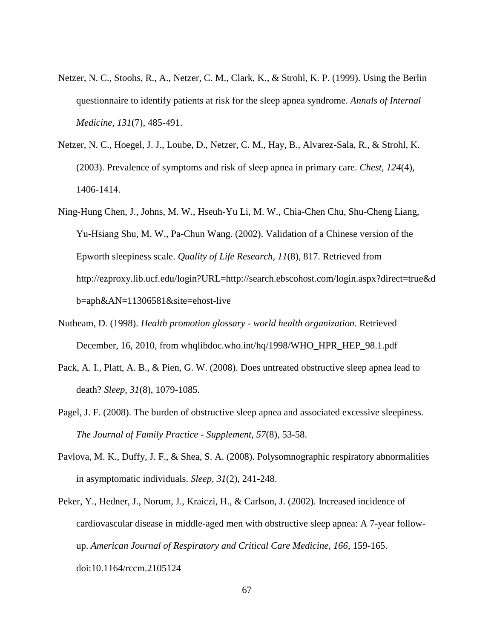- Netzer, N. C., Stoohs, R., A., Netzer, C. M., Clark, K., & Strohl, K. P. (1999). Using the Berlin questionnaire to identify patients at risk for the sleep apnea syndrome. *Annals of Internal Medicine, 131*(7), 485-491.
- Netzer, N. C., Hoegel, J. J., Loube, D., Netzer, C. M., Hay, B., Alvarez-Sala, R., & Strohl, K. (2003). Prevalence of symptoms and risk of sleep apnea in primary care. *Chest, 124*(4), 1406-1414.
- Ning-Hung Chen, J., Johns, M. W., Hseuh-Yu Li, M. W., Chia-Chen Chu, Shu-Cheng Liang, Yu-Hsiang Shu, M. W., Pa-Chun Wang. (2002). Validation of a Chinese version of the Epworth sleepiness scale. *Quality of Life Research, 11*(8), 817. Retrieved from [http://ezproxy.lib.ucf.edu/login?URL=http://search.ebscohost.com/login.aspx?direct=true&d](http://ezproxy.lib.ucf.edu/login?URL=http://search.ebscohost.com/login.aspx?direct=true&db=aph&AN=11306581&site=ehost-live) [b=aph&AN=11306581&site=ehost-live](http://ezproxy.lib.ucf.edu/login?URL=http://search.ebscohost.com/login.aspx?direct=true&db=aph&AN=11306581&site=ehost-live)
- Nutbeam, D. (1998). *Health promotion glossary - world health organization.* Retrieved December, 16, 2010, from whqlibdoc.who.int/hq/1998/WHO\_HPR\_HEP\_98.1.pdf
- Pack, A. I., Platt, A. B., & Pien, G. W. (2008). Does untreated obstructive sleep apnea lead to death? *Sleep, 31*(8), 1079-1085.
- Pagel, J. F. (2008). The burden of obstructive sleep apnea and associated excessive sleepiness. *The Journal of Family Practice - Supplement, 57*(8), 53-58.
- Pavlova, M. K., Duffy, J. F., & Shea, S. A. (2008). Polysomnographic respiratory abnormalities in asymptomatic individuals. *Sleep, 31*(2), 241-248.
- Peker, Y., Hedner, J., Norum, J., Kraiczi, H., & Carlson, J. (2002). Increased incidence of cardiovascular disease in middle-aged men with obstructive sleep apnea: A 7-year followup. *American Journal of Respiratory and Critical Care Medicine, 166*, 159-165. doi:10.1164/rccm.2105124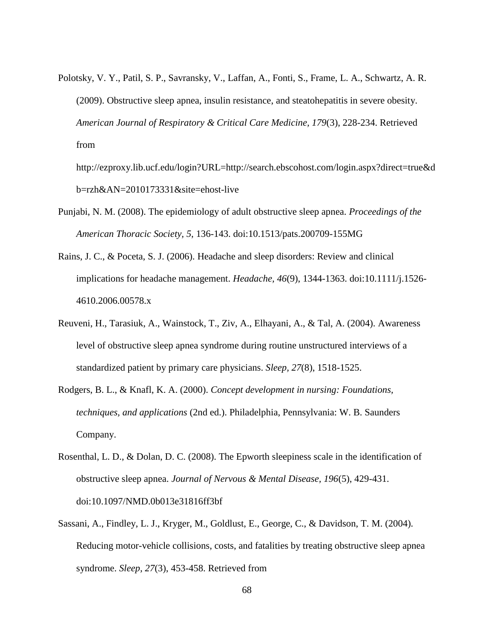Polotsky, V. Y., Patil, S. P., Savransky, V., Laffan, A., Fonti, S., Frame, L. A., Schwartz, A. R. (2009). Obstructive sleep apnea, insulin resistance, and steatohepatitis in severe obesity. *American Journal of Respiratory & Critical Care Medicine, 179*(3), 228-234. Retrieved from

[http://ezproxy.lib.ucf.edu/login?URL=http://search.ebscohost.com/login.aspx?direct=true&d](http://ezproxy.lib.ucf.edu/login?URL=http://search.ebscohost.com/login.aspx?direct=true&db=rzh&AN=2010173331&site=ehost-live) [b=rzh&AN=2010173331&site=ehost-live](http://ezproxy.lib.ucf.edu/login?URL=http://search.ebscohost.com/login.aspx?direct=true&db=rzh&AN=2010173331&site=ehost-live)

- Punjabi, N. M. (2008). The epidemiology of adult obstructive sleep apnea. *Proceedings of the American Thoracic Society, 5*, 136-143. doi:10.1513/pats.200709-155MG
- Rains, J. C., & Poceta, S. J. (2006). Headache and sleep disorders: Review and clinical implications for headache management. *Headache, 46*(9), 1344-1363. doi:10.1111/j.1526- 4610.2006.00578.x
- Reuveni, H., Tarasiuk, A., Wainstock, T., Ziv, A., Elhayani, A., & Tal, A. (2004). Awareness level of obstructive sleep apnea syndrome during routine unstructured interviews of a standardized patient by primary care physicians. *Sleep, 27*(8), 1518-1525.
- Rodgers, B. L., & Knafl, K. A. (2000). *Concept development in nursing: Foundations, techniques, and applications* (2nd ed.). Philadelphia, Pennsylvania: W. B. Saunders Company.
- Rosenthal, L. D., & Dolan, D. C. (2008). The Epworth sleepiness scale in the identification of obstructive sleep apnea. *Journal of Nervous & Mental Disease, 196*(5), 429-431. doi:10.1097/NMD.0b013e31816ff3bf
- Sassani, A., Findley, L. J., Kryger, M., Goldlust, E., George, C., & Davidson, T. M. (2004). Reducing motor-vehicle collisions, costs, and fatalities by treating obstructive sleep apnea syndrome. *Sleep, 27*(3), 453-458. Retrieved from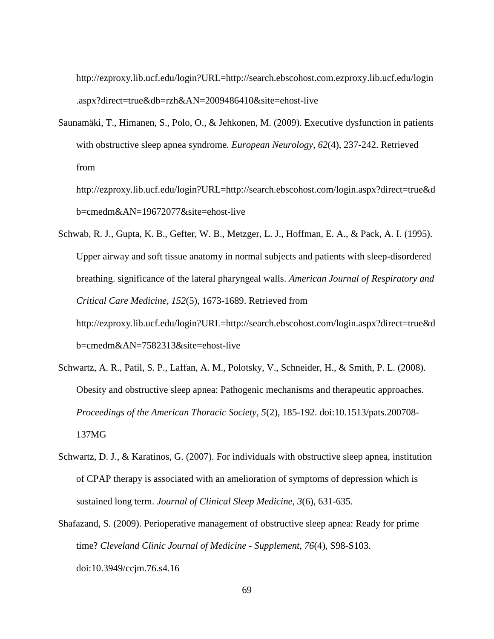[http://ezproxy.lib.ucf.edu/login?URL=http://search.ebscohost.com.ezproxy.lib.ucf.edu/login](http://ezproxy.lib.ucf.edu/login?URL=http://search.ebscohost.com.ezproxy.lib.ucf.edu/login.aspx?direct=true&db=rzh&AN=2009486410&site=ehost-live) [.aspx?direct=true&db=rzh&AN=2009486410&site=ehost-live](http://ezproxy.lib.ucf.edu/login?URL=http://search.ebscohost.com.ezproxy.lib.ucf.edu/login.aspx?direct=true&db=rzh&AN=2009486410&site=ehost-live)

Saunamäki, T., Himanen, S., Polo, O., & Jehkonen, M. (2009). Executive dysfunction in patients with obstructive sleep apnea syndrome. *European Neurology, 62*(4), 237-242. Retrieved from

[http://ezproxy.lib.ucf.edu/login?URL=http://search.ebscohost.com/login.aspx?direct=true&d](http://ezproxy.lib.ucf.edu/login?URL=http://search.ebscohost.com/login.aspx?direct=true&db=cmedm&AN=19672077&site=ehost-live) [b=cmedm&AN=19672077&site=ehost-live](http://ezproxy.lib.ucf.edu/login?URL=http://search.ebscohost.com/login.aspx?direct=true&db=cmedm&AN=19672077&site=ehost-live)

- Schwab, R. J., Gupta, K. B., Gefter, W. B., Metzger, L. J., Hoffman, E. A., & Pack, A. I. (1995). Upper airway and soft tissue anatomy in normal subjects and patients with sleep-disordered breathing. significance of the lateral pharyngeal walls. *American Journal of Respiratory and Critical Care Medicine, 152*(5), 1673-1689. Retrieved from [http://ezproxy.lib.ucf.edu/login?URL=http://search.ebscohost.com/login.aspx?direct=true&d](http://ezproxy.lib.ucf.edu/login?URL=http://search.ebscohost.com/login.aspx?direct=true&db=cmedm&AN=7582313&site=ehost-live) [b=cmedm&AN=7582313&site=ehost-live](http://ezproxy.lib.ucf.edu/login?URL=http://search.ebscohost.com/login.aspx?direct=true&db=cmedm&AN=7582313&site=ehost-live)
- Schwartz, A. R., Patil, S. P., Laffan, A. M., Polotsky, V., Schneider, H., & Smith, P. L. (2008). Obesity and obstructive sleep apnea: Pathogenic mechanisms and therapeutic approaches. *Proceedings of the American Thoracic Society, 5*(2), 185-192. doi:10.1513/pats.200708- 137MG
- Schwartz, D. J., & Karatinos, G. (2007). For individuals with obstructive sleep apnea, institution of CPAP therapy is associated with an amelioration of symptoms of depression which is sustained long term. *Journal of Clinical Sleep Medicine, 3*(6), 631-635.
- Shafazand, S. (2009). Perioperative management of obstructive sleep apnea: Ready for prime time? *Cleveland Clinic Journal of Medicine - Supplement, 76*(4), S98-S103. doi:10.3949/ccjm.76.s4.16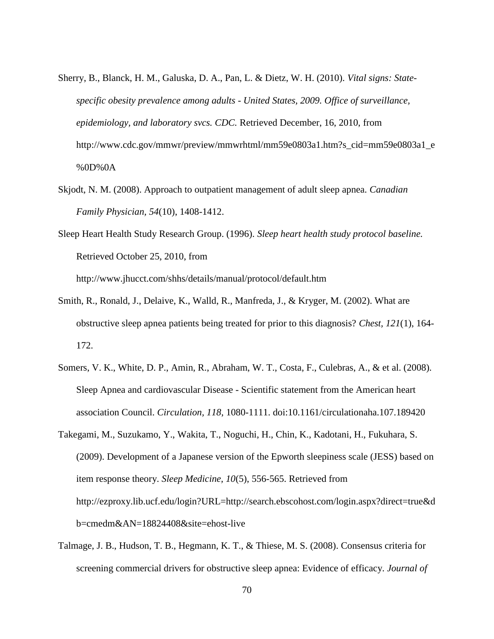- Sherry, B., Blanck, H. M., Galuska, D. A., Pan, L. & Dietz, W. H. (2010). *Vital signs: Statespecific obesity prevalence among adults - United States, 2009. Office of surveillance, epidemiology, and laboratory svcs. CDC.* Retrieved December, 16, 2010, from [http://www.cdc.gov/mmwr/preview/mmwrhtml/mm59e0803a1.htm?s\\_cid=mm59e0803a1\\_e](http://www.cdc.gov/mmwr/preview/mmwrhtml/mm59e0803a1.htm?s_cid=mm59e0803a1_e%0D%0A) [%0D%0A](http://www.cdc.gov/mmwr/preview/mmwrhtml/mm59e0803a1.htm?s_cid=mm59e0803a1_e%0D%0A)
- Skjodt, N. M. (2008). Approach to outpatient management of adult sleep apnea. *Canadian Family Physician, 54*(10), 1408-1412.
- Sleep Heart Health Study Research Group. (1996). *Sleep heart health study protocol baseline.* Retrieved October 25, 2010, from <http://www.jhucct.com/shhs/details/manual/protocol/default.htm>
- Smith, R., Ronald, J., Delaive, K., Walld, R., Manfreda, J., & Kryger, M. (2002). What are obstructive sleep apnea patients being treated for prior to this diagnosis? *Chest, 121*(1), 164- 172.
- Somers, V. K., White, D. P., Amin, R., Abraham, W. T., Costa, F., Culebras, A., & et al. (2008). Sleep Apnea and cardiovascular Disease *-* Scientific statement from the American heart association Council. *Circulation, 118*, 1080-1111. doi:10.1161/circulationaha.107.189420
- Takegami, M., Suzukamo, Y., Wakita, T., Noguchi, H., Chin, K., Kadotani, H., Fukuhara, S. (2009). Development of a Japanese version of the Epworth sleepiness scale (JESS) based on item response theory. *Sleep Medicine, 10*(5), 556-565. Retrieved from [http://ezproxy.lib.ucf.edu/login?URL=http://search.ebscohost.com/login.aspx?direct=true&d](http://ezproxy.lib.ucf.edu/login?URL=http://search.ebscohost.com/login.aspx?direct=true&db=cmedm&AN=18824408&site=ehost-live) [b=cmedm&AN=18824408&site=ehost-live](http://ezproxy.lib.ucf.edu/login?URL=http://search.ebscohost.com/login.aspx?direct=true&db=cmedm&AN=18824408&site=ehost-live)
- Talmage, J. B., Hudson, T. B., Hegmann, K. T., & Thiese, M. S. (2008). Consensus criteria for screening commercial drivers for obstructive sleep apnea: Evidence of efficacy. *Journal of*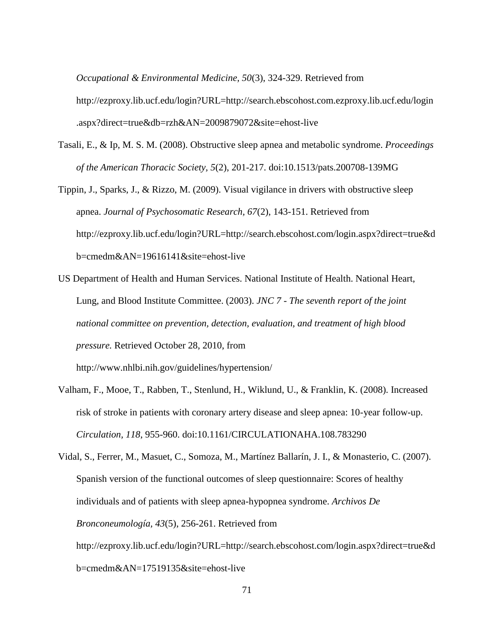*Occupational & Environmental Medicine, 50*(3), 324-329. Retrieved from

[http://ezproxy.lib.ucf.edu/login?URL=http://search.ebscohost.com.ezproxy.lib.ucf.edu/login](http://ezproxy.lib.ucf.edu/login?URL=http://search.ebscohost.com.ezproxy.lib.ucf.edu/login.aspx?direct=true&db=rzh&AN=2009879072&site=ehost-live) [.aspx?direct=true&db=rzh&AN=2009879072&site=ehost-live](http://ezproxy.lib.ucf.edu/login?URL=http://search.ebscohost.com.ezproxy.lib.ucf.edu/login.aspx?direct=true&db=rzh&AN=2009879072&site=ehost-live)

- Tasali, E., & Ip, M. S. M. (2008). Obstructive sleep apnea and metabolic syndrome. *Proceedings of the American Thoracic Society, 5*(2), 201-217. doi:10.1513/pats.200708-139MG
- Tippin, J., Sparks, J., & Rizzo, M. (2009). Visual vigilance in drivers with obstructive sleep apnea. *Journal of Psychosomatic Research, 67*(2), 143-151. Retrieved from http://ezproxy.lib.ucf.edu/login?URL=http://search.ebscohost.com/login.aspx?direct=true&d b=cmedm&AN=19616141&site=ehost-live
- US Department of Health and Human Services. National Institute of Health. National Heart, Lung, and Blood Institute Committee. (2003). *JNC 7 - The seventh report of the joint national committee on prevention, detection, evaluation, and treatment of high blood pressure.* Retrieved October 28, 2010, from <http://www.nhlbi.nih.gov/guidelines/hypertension/>
- Valham, F., Mooe, T., Rabben, T., Stenlund, H., Wiklund, U., & Franklin, K. (2008). Increased risk of stroke in patients with coronary artery disease and sleep apnea: 10-year follow-up. *Circulation, 118*, 955-960. doi:10.1161/CIRCULATIONAHA.108.783290
- Vidal, S., Ferrer, M., Masuet, C., Somoza, M., Martínez Ballarín, J. I., & Monasterio, C. (2007). Spanish version of the functional outcomes of sleep questionnaire: Scores of healthy individuals and of patients with sleep apnea-hypopnea syndrome. *Archivos De Bronconeumología, 43*(5), 256-261. Retrieved from [http://ezproxy.lib.ucf.edu/login?URL=http://search.ebscohost.com/login.aspx?direct=true&d](http://ezproxy.lib.ucf.edu/login?URL=http://search.ebscohost.com/login.aspx?direct=true&db=cmedm&AN=17519135&site=ehost-live) [b=cmedm&AN=17519135&site=ehost-live](http://ezproxy.lib.ucf.edu/login?URL=http://search.ebscohost.com/login.aspx?direct=true&db=cmedm&AN=17519135&site=ehost-live)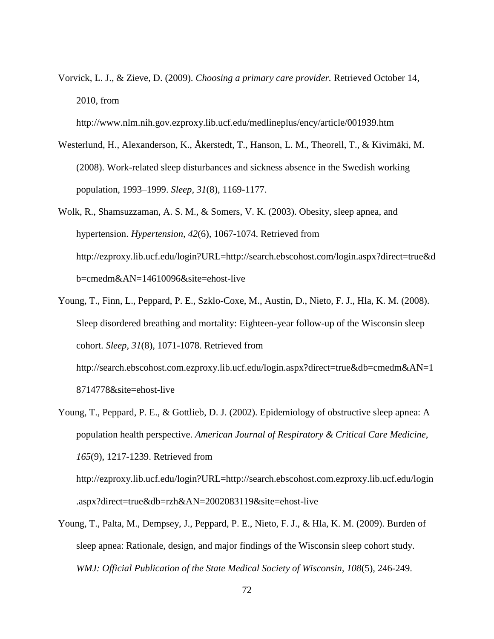Vorvick, L. J., & Zieve, D. (2009). *Choosing a primary care provider.* Retrieved October 14, 2010, from

<http://www.nlm.nih.gov.ezproxy.lib.ucf.edu/medlineplus/ency/article/001939.htm>

- Westerlund, H., Alexanderson, K., Åkerstedt, T., Hanson, L. M., Theorell, T., & Kivimäki, M. (2008). Work-related sleep disturbances and sickness absence in the Swedish working population, 1993–1999. *Sleep, 31*(8), 1169-1177.
- Wolk, R., Shamsuzzaman, A. S. M., & Somers, V. K. (2003). Obesity, sleep apnea, and hypertension. *Hypertension, 42*(6), 1067-1074. Retrieved from [http://ezproxy.lib.ucf.edu/login?URL=http://search.ebscohost.com/login.aspx?direct=true&d](http://ezproxy.lib.ucf.edu/login?URL=http://search.ebscohost.com/login.aspx?direct=true&db=cmedm&AN=14610096&site=ehost-live) [b=cmedm&AN=14610096&site=ehost-live](http://ezproxy.lib.ucf.edu/login?URL=http://search.ebscohost.com/login.aspx?direct=true&db=cmedm&AN=14610096&site=ehost-live)
- Young, T., Finn, L., Peppard, P. E., Szklo-Coxe, M., Austin, D., Nieto, F. J., Hla, K. M. (2008). Sleep disordered breathing and mortality: Eighteen-year follow-up of the Wisconsin sleep cohort. *Sleep, 31*(8), 1071-1078. Retrieved from [http://search.ebscohost.com.ezproxy.lib.ucf.edu/login.aspx?direct=true&db=cmedm&AN=1](http://search.ebscohost.com.ezproxy.lib.ucf.edu/login.aspx?direct=true&db=cmedm&AN=18714778&site=ehost-live) [8714778&site=ehost-live](http://search.ebscohost.com.ezproxy.lib.ucf.edu/login.aspx?direct=true&db=cmedm&AN=18714778&site=ehost-live)
- Young, T., Peppard, P. E., & Gottlieb, D. J. (2002). Epidemiology of obstructive sleep apnea: A population health perspective. *American Journal of Respiratory & Critical Care Medicine, 165*(9), 1217-1239. Retrieved from

http://ezproxy.lib.ucf.edu/login?URL=http://search.ebscohost.com.ezproxy.lib.ucf.edu/login .aspx?direct=true&db=rzh&AN=2002083119&site=ehost-live

Young, T., Palta, M., Dempsey, J., Peppard, P. E., Nieto, F. J., & Hla, K. M. (2009). Burden of sleep apnea: Rationale, design, and major findings of the Wisconsin sleep cohort study. *WMJ: Official Publication of the State Medical Society of Wisconsin, 108*(5), 246-249.